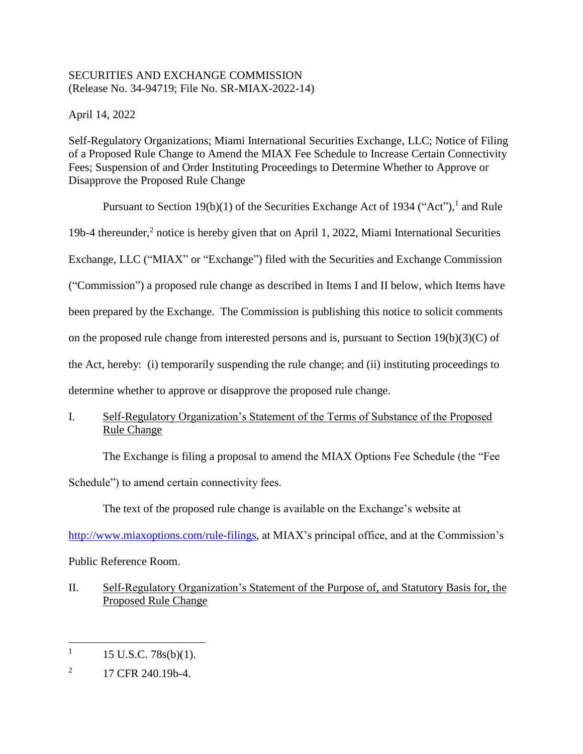# SECURITIES AND EXCHANGE COMMISSION (Release No. 34-94719; File No. SR-MIAX-2022-14)

April 14, 2022

Self-Regulatory Organizations; Miami International Securities Exchange, LLC; Notice of Filing of a Proposed Rule Change to Amend the MIAX Fee Schedule to Increase Certain Connectivity Fees; Suspension of and Order Instituting Proceedings to Determine Whether to Approve or Disapprove the Proposed Rule Change

Pursuant to Section 19(b)(1) of the Securities Exchange Act of 1934 ("Act"), and Rule 19b-4 thereunder,<sup>2</sup> notice is hereby given that on April 1, 2022, Miami International Securities Exchange, LLC ("MIAX" or "Exchange") filed with the Securities and Exchange Commission ("Commission") a proposed rule change as described in Items I and II below, which Items have been prepared by the Exchange. The Commission is publishing this notice to solicit comments on the proposed rule change from interested persons and is, pursuant to Section  $19(b)(3)(C)$  of the Act, hereby: (i) temporarily suspending the rule change; and (ii) instituting proceedings to determine whether to approve or disapprove the proposed rule change.

I. Self-Regulatory Organization's Statement of the Terms of Substance of the Proposed Rule Change

The Exchange is filing a proposal to amend the MIAX Options Fee Schedule (the "Fee

Schedule") to amend certain connectivity fees.

The text of the proposed rule change is available on the Exchange's website at

[http://www.miaxoptions.com/rule-filings,](http://www.miaxoptions.com/rule-filings) at MIAX's principal office, and at the Commission's Public Reference Room.

II. Self-Regulatory Organization's Statement of the Purpose of, and Statutory Basis for, the Proposed Rule Change

 $\overline{a}$ 1 15 U.S.C. 78s(b)(1).

<sup>2</sup> 17 CFR 240.19b-4.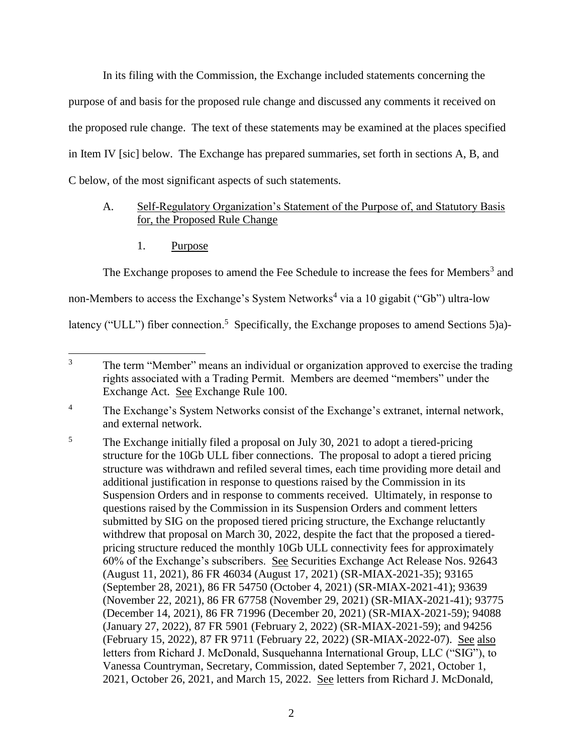In its filing with the Commission, the Exchange included statements concerning the purpose of and basis for the proposed rule change and discussed any comments it received on the proposed rule change. The text of these statements may be examined at the places specified in Item IV [sic] below. The Exchange has prepared summaries, set forth in sections A, B, and C below, of the most significant aspects of such statements.

## A. Self-Regulatory Organization's Statement of the Purpose of, and Statutory Basis for, the Proposed Rule Change

1. Purpose

The Exchange proposes to amend the Fee Schedule to increase the fees for Members<sup>3</sup> and

non-Members to access the Exchange's System Networks<sup>4</sup> via a 10 gigabit ("Gb") ultra-low

latency ("ULL") fiber connection.<sup>5</sup> Specifically, the Exchange proposes to amend Sections 5)a)-

 $\overline{3}$ The term "Member" means an individual or organization approved to exercise the trading rights associated with a Trading Permit. Members are deemed "members" under the Exchange Act. See Exchange Rule 100.

<sup>&</sup>lt;sup>4</sup> The Exchange's System Networks consist of the Exchange's extranet, internal network, and external network.

<sup>&</sup>lt;sup>5</sup> The Exchange initially filed a proposal on July 30, 2021 to adopt a tiered-pricing structure for the 10Gb ULL fiber connections. The proposal to adopt a tiered pricing structure was withdrawn and refiled several times, each time providing more detail and additional justification in response to questions raised by the Commission in its Suspension Orders and in response to comments received. Ultimately, in response to questions raised by the Commission in its Suspension Orders and comment letters submitted by SIG on the proposed tiered pricing structure, the Exchange reluctantly withdrew that proposal on March 30, 2022, despite the fact that the proposed a tieredpricing structure reduced the monthly 10Gb ULL connectivity fees for approximately 60% of the Exchange's subscribers. See Securities Exchange Act Release Nos. 92643 (August 11, 2021), 86 FR 46034 (August 17, 2021) (SR-MIAX-2021-35); 93165 (September 28, 2021), 86 FR 54750 (October 4, 2021) (SR-MIAX-2021-41); 93639 (November 22, 2021), 86 FR 67758 (November 29, 2021) (SR-MIAX-2021-41); 93775 (December 14, 2021), 86 FR 71996 (December 20, 2021) (SR-MIAX-2021-59); 94088 (January 27, 2022), 87 FR 5901 (February 2, 2022) (SR-MIAX-2021-59); and 94256 (February 15, 2022), 87 FR 9711 (February 22, 2022) (SR-MIAX-2022-07). See also letters from Richard J. McDonald, Susquehanna International Group, LLC ("SIG"), to Vanessa Countryman, Secretary, Commission, dated September 7, 2021, October 1, 2021, October 26, 2021, and March 15, 2022. See letters from Richard J. McDonald,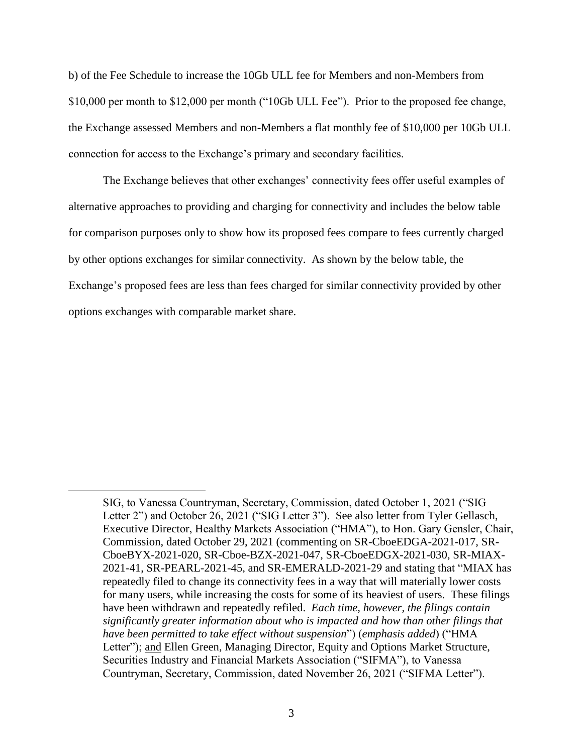b) of the Fee Schedule to increase the 10Gb ULL fee for Members and non-Members from \$10,000 per month to \$12,000 per month ("10Gb ULL Fee"). Prior to the proposed fee change, the Exchange assessed Members and non-Members a flat monthly fee of \$10,000 per 10Gb ULL connection for access to the Exchange's primary and secondary facilities.

The Exchange believes that other exchanges' connectivity fees offer useful examples of alternative approaches to providing and charging for connectivity and includes the below table for comparison purposes only to show how its proposed fees compare to fees currently charged by other options exchanges for similar connectivity. As shown by the below table, the Exchange's proposed fees are less than fees charged for similar connectivity provided by other options exchanges with comparable market share.

l

SIG, to Vanessa Countryman, Secretary, Commission, dated October 1, 2021 ("SIG Letter 2") and October 26, 2021 ("SIG Letter 3"). See also letter from Tyler Gellasch, Executive Director, Healthy Markets Association ("HMA"), to Hon. Gary Gensler, Chair, Commission, dated October 29, 2021 (commenting on SR-CboeEDGA-2021-017, SR-CboeBYX-2021-020, SR-Cboe-BZX-2021-047, SR-CboeEDGX-2021-030, SR-MIAX-2021-41, SR-PEARL-2021-45, and SR-EMERALD-2021-29 and stating that "MIAX has repeatedly filed to change its connectivity fees in a way that will materially lower costs for many users, while increasing the costs for some of its heaviest of users. These filings have been withdrawn and repeatedly refiled. *Each time, however, the filings contain significantly greater information about who is impacted and how than other filings that have been permitted to take effect without suspension*") (*emphasis added*) ("HMA Letter"); and Ellen Green, Managing Director, Equity and Options Market Structure, Securities Industry and Financial Markets Association ("SIFMA"), to Vanessa Countryman, Secretary, Commission, dated November 26, 2021 ("SIFMA Letter").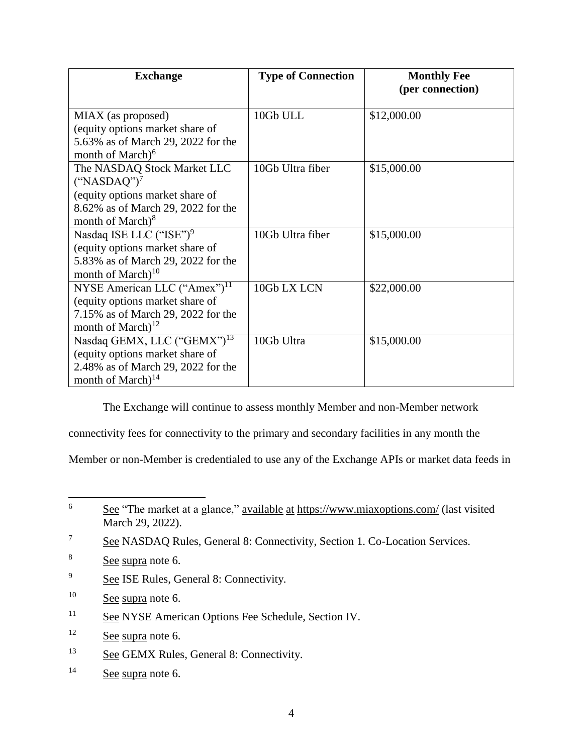| <b>Exchange</b>                          | <b>Type of Connection</b> | <b>Monthly Fee</b> |
|------------------------------------------|---------------------------|--------------------|
|                                          |                           | (per connection)   |
| MIAX (as proposed)                       | 10Gb ULL                  | \$12,000.00        |
| (equity options market share of          |                           |                    |
| 5.63% as of March 29, 2022 for the       |                           |                    |
| month of March) <sup>6</sup>             |                           |                    |
| The NASDAQ Stock Market LLC              | 10Gb Ultra fiber          | \$15,000.00        |
| $("NASDAQ")^7$                           |                           |                    |
| (equity options market share of          |                           |                    |
| 8.62% as of March 29, 2022 for the       |                           |                    |
| month of March) <sup>8</sup>             |                           |                    |
| Nasdaq ISE LLC ("ISE") <sup>9</sup>      | 10Gb Ultra fiber          | \$15,000.00        |
| (equity options market share of          |                           |                    |
| 5.83% as of March 29, 2022 for the       |                           |                    |
| month of March $)^{10}$                  |                           |                    |
| NYSE American LLC ("Amex") <sup>11</sup> | 10Gb LX LCN               | \$22,000.00        |
| (equity options market share of          |                           |                    |
| 7.15% as of March 29, 2022 for the       |                           |                    |
| month of March) $^{12}$                  |                           |                    |
| Nasdaq GEMX, LLC ("GEMX") <sup>13</sup>  | 10Gb Ultra                | \$15,000.00        |
| (equity options market share of          |                           |                    |
| 2.48% as of March 29, 2022 for the       |                           |                    |
| month of March) <sup>14</sup>            |                           |                    |

The Exchange will continue to assess monthly Member and non-Member network

connectivity fees for connectivity to the primary and secondary facilities in any month the

Member or non-Member is credentialed to use any of the Exchange APIs or market data feeds in

- <sup>9</sup> See ISE Rules, General 8: Connectivity.
- $10$  See supra note 6.
- <sup>11</sup> See NYSE American Options Fee Schedule, Section IV.
- <sup>12</sup> See supra note 6.
- <sup>13</sup> See GEMX Rules, General 8: Connectivity.
- <sup>14</sup> See supra note 6.

 $6\,$ See "The market at a glance," available at <https://www.miaxoptions.com/> (last visited March 29, 2022).

<sup>&</sup>lt;sup>7</sup> See NASDAQ Rules, General 8: Connectivity, Section 1. Co-Location Services.

<sup>&</sup>lt;sup>8</sup> See supra note 6.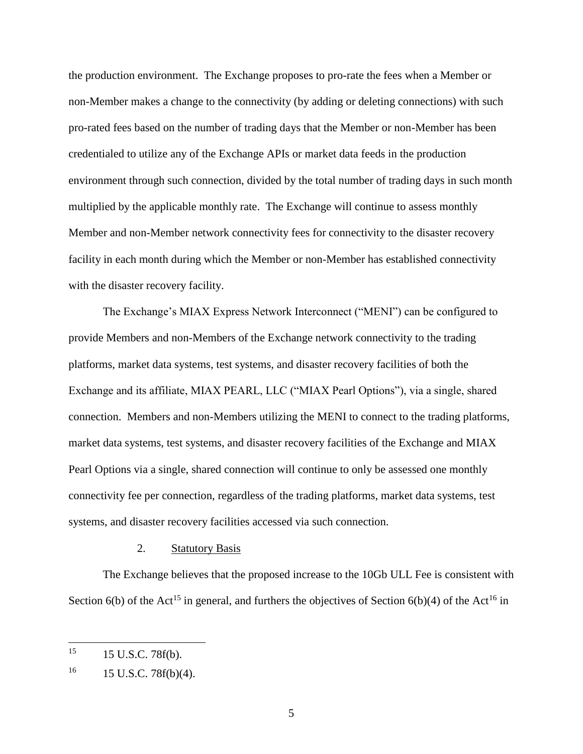the production environment. The Exchange proposes to pro-rate the fees when a Member or non-Member makes a change to the connectivity (by adding or deleting connections) with such pro-rated fees based on the number of trading days that the Member or non-Member has been credentialed to utilize any of the Exchange APIs or market data feeds in the production environment through such connection, divided by the total number of trading days in such month multiplied by the applicable monthly rate. The Exchange will continue to assess monthly Member and non-Member network connectivity fees for connectivity to the disaster recovery facility in each month during which the Member or non-Member has established connectivity with the disaster recovery facility.

The Exchange's MIAX Express Network Interconnect ("MENI") can be configured to provide Members and non-Members of the Exchange network connectivity to the trading platforms, market data systems, test systems, and disaster recovery facilities of both the Exchange and its affiliate, MIAX PEARL, LLC ("MIAX Pearl Options"), via a single, shared connection. Members and non-Members utilizing the MENI to connect to the trading platforms, market data systems, test systems, and disaster recovery facilities of the Exchange and MIAX Pearl Options via a single, shared connection will continue to only be assessed one monthly connectivity fee per connection, regardless of the trading platforms, market data systems, test systems, and disaster recovery facilities accessed via such connection.

## 2. Statutory Basis

The Exchange believes that the proposed increase to the 10Gb ULL Fee is consistent with Section 6(b) of the Act<sup>15</sup> in general, and furthers the objectives of Section 6(b)(4) of the Act<sup>16</sup> in

<sup>15</sup> <sup>15</sup> 15 U.S.C. 78f(b).

 $16$  15 U.S.C. 78f(b)(4).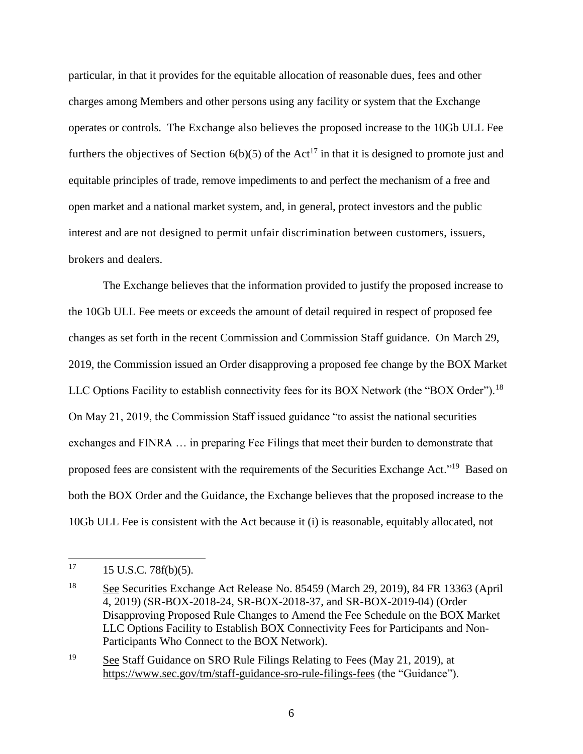particular, in that it provides for the equitable allocation of reasonable dues, fees and other charges among Members and other persons using any facility or system that the Exchange operates or controls. The Exchange also believes the proposed increase to the 10Gb ULL Fee furthers the objectives of Section  $6(b)(5)$  of the Act<sup>17</sup> in that it is designed to promote just and equitable principles of trade, remove impediments to and perfect the mechanism of a free and open market and a national market system, and, in general, protect investors and the public interest and are not designed to permit unfair discrimination between customers, issuers, brokers and dealers.

The Exchange believes that the information provided to justify the proposed increase to the 10Gb ULL Fee meets or exceeds the amount of detail required in respect of proposed fee changes as set forth in the recent Commission and Commission Staff guidance. On March 29, 2019, the Commission issued an Order disapproving a proposed fee change by the BOX Market LLC Options Facility to establish connectivity fees for its BOX Network (the "BOX Order").<sup>18</sup> On May 21, 2019, the Commission Staff issued guidance "to assist the national securities exchanges and FINRA … in preparing Fee Filings that meet their burden to demonstrate that proposed fees are consistent with the requirements of the Securities Exchange Act."<sup>19</sup> Based on both the BOX Order and the Guidance, the Exchange believes that the proposed increase to the 10Gb ULL Fee is consistent with the Act because it (i) is reasonable, equitably allocated, not

<sup>17</sup> <sup>17</sup> 15 U.S.C. 78f(b)(5).

<sup>&</sup>lt;sup>18</sup> See Securities Exchange Act Release No. 85459 (March 29, 2019), 84 FR 13363 (April 4, 2019) (SR-BOX-2018-24, SR-BOX-2018-37, and SR-BOX-2019-04) (Order Disapproving Proposed Rule Changes to Amend the Fee Schedule on the BOX Market LLC Options Facility to Establish BOX Connectivity Fees for Participants and Non-Participants Who Connect to the BOX Network).

<sup>&</sup>lt;sup>19</sup> See Staff Guidance on SRO Rule Filings Relating to Fees (May 21, 2019), at <https://www.sec.gov/tm/staff-guidance-sro-rule-filings-fees> (the "Guidance").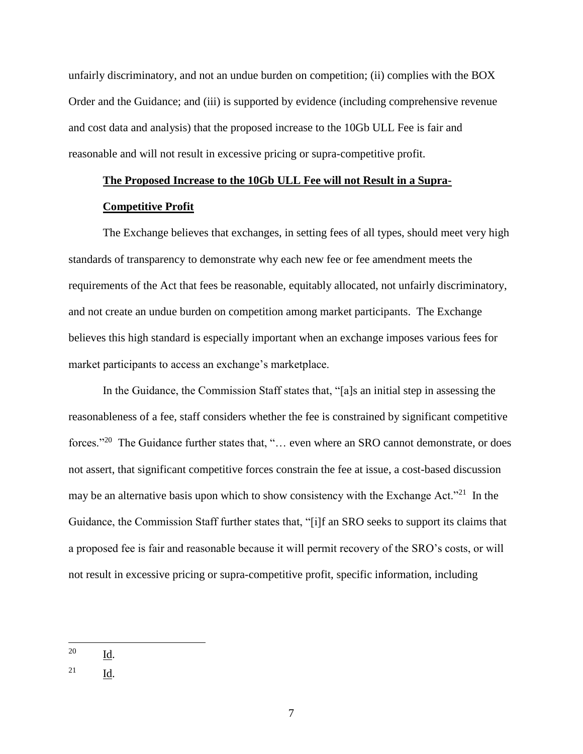unfairly discriminatory, and not an undue burden on competition; (ii) complies with the BOX Order and the Guidance; and (iii) is supported by evidence (including comprehensive revenue and cost data and analysis) that the proposed increase to the 10Gb ULL Fee is fair and reasonable and will not result in excessive pricing or supra-competitive profit.

## **The Proposed Increase to the 10Gb ULL Fee will not Result in a Supra-**

### **Competitive Profit**

The Exchange believes that exchanges, in setting fees of all types, should meet very high standards of transparency to demonstrate why each new fee or fee amendment meets the requirements of the Act that fees be reasonable, equitably allocated, not unfairly discriminatory, and not create an undue burden on competition among market participants. The Exchange believes this high standard is especially important when an exchange imposes various fees for market participants to access an exchange's marketplace.

In the Guidance, the Commission Staff states that, "[a]s an initial step in assessing the reasonableness of a fee, staff considers whether the fee is constrained by significant competitive forces."<sup>20</sup> The Guidance further states that, "... even where an SRO cannot demonstrate, or does not assert, that significant competitive forces constrain the fee at issue, a cost-based discussion may be an alternative basis upon which to show consistency with the Exchange Act."<sup>21</sup> In the Guidance, the Commission Staff further states that, "[i]f an SRO seeks to support its claims that a proposed fee is fair and reasonable because it will permit recovery of the SRO's costs, or will not result in excessive pricing or supra-competitive profit, specific information, including

<sup>20</sup>  $\underline{\mathbf{Id}}$ .

<sup>21</sup> Id.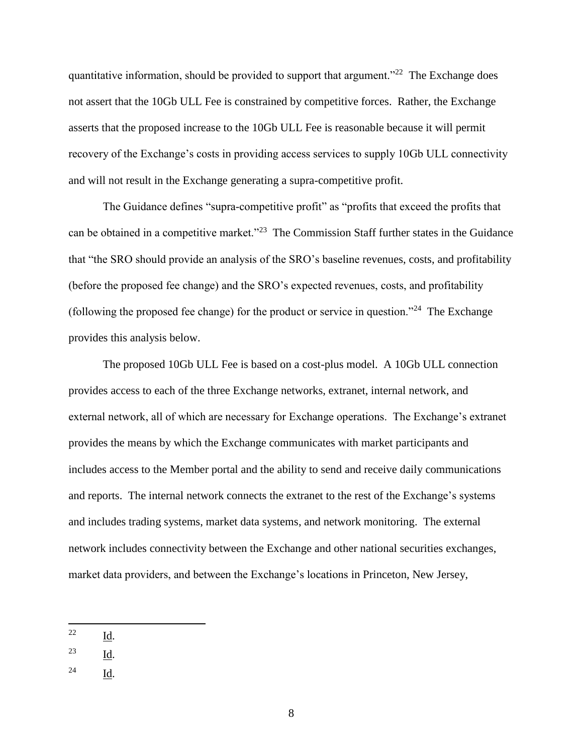quantitative information, should be provided to support that argument."<sup>22</sup> The Exchange does not assert that the 10Gb ULL Fee is constrained by competitive forces. Rather, the Exchange asserts that the proposed increase to the 10Gb ULL Fee is reasonable because it will permit recovery of the Exchange's costs in providing access services to supply 10Gb ULL connectivity and will not result in the Exchange generating a supra-competitive profit.

The Guidance defines "supra-competitive profit" as "profits that exceed the profits that can be obtained in a competitive market."<sup>23</sup> The Commission Staff further states in the Guidance that "the SRO should provide an analysis of the SRO's baseline revenues, costs, and profitability (before the proposed fee change) and the SRO's expected revenues, costs, and profitability (following the proposed fee change) for the product or service in question."<sup>24</sup> The Exchange provides this analysis below.

The proposed 10Gb ULL Fee is based on a cost-plus model. A 10Gb ULL connection provides access to each of the three Exchange networks, extranet, internal network, and external network, all of which are necessary for Exchange operations. The Exchange's extranet provides the means by which the Exchange communicates with market participants and includes access to the Member portal and the ability to send and receive daily communications and reports. The internal network connects the extranet to the rest of the Exchange's systems and includes trading systems, market data systems, and network monitoring. The external network includes connectivity between the Exchange and other national securities exchanges, market data providers, and between the Exchange's locations in Princeton, New Jersey,

<sup>24</sup> Id.

<sup>22</sup> Id.

 $\frac{23}{\underline{Id}}$ .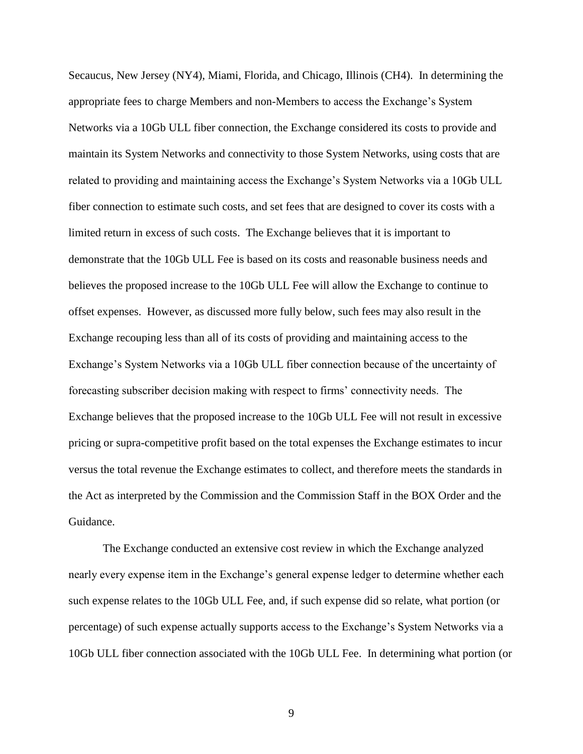Secaucus, New Jersey (NY4), Miami, Florida, and Chicago, Illinois (CH4). In determining the appropriate fees to charge Members and non-Members to access the Exchange's System Networks via a 10Gb ULL fiber connection, the Exchange considered its costs to provide and maintain its System Networks and connectivity to those System Networks, using costs that are related to providing and maintaining access the Exchange's System Networks via a 10Gb ULL fiber connection to estimate such costs, and set fees that are designed to cover its costs with a limited return in excess of such costs. The Exchange believes that it is important to demonstrate that the 10Gb ULL Fee is based on its costs and reasonable business needs and believes the proposed increase to the 10Gb ULL Fee will allow the Exchange to continue to offset expenses. However, as discussed more fully below, such fees may also result in the Exchange recouping less than all of its costs of providing and maintaining access to the Exchange's System Networks via a 10Gb ULL fiber connection because of the uncertainty of forecasting subscriber decision making with respect to firms' connectivity needs. The Exchange believes that the proposed increase to the 10Gb ULL Fee will not result in excessive pricing or supra-competitive profit based on the total expenses the Exchange estimates to incur versus the total revenue the Exchange estimates to collect, and therefore meets the standards in the Act as interpreted by the Commission and the Commission Staff in the BOX Order and the Guidance.

The Exchange conducted an extensive cost review in which the Exchange analyzed nearly every expense item in the Exchange's general expense ledger to determine whether each such expense relates to the 10Gb ULL Fee, and, if such expense did so relate, what portion (or percentage) of such expense actually supports access to the Exchange's System Networks via a 10Gb ULL fiber connection associated with the 10Gb ULL Fee. In determining what portion (or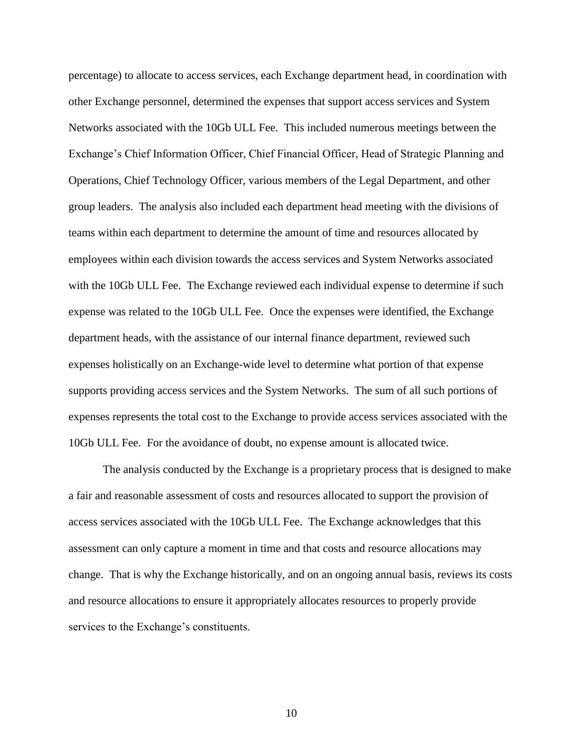percentage) to allocate to access services, each Exchange department head, in coordination with other Exchange personnel, determined the expenses that support access services and System Networks associated with the 10Gb ULL Fee. This included numerous meetings between the Exchange's Chief Information Officer, Chief Financial Officer, Head of Strategic Planning and Operations, Chief Technology Officer, various members of the Legal Department, and other group leaders. The analysis also included each department head meeting with the divisions of teams within each department to determine the amount of time and resources allocated by employees within each division towards the access services and System Networks associated with the 10Gb ULL Fee. The Exchange reviewed each individual expense to determine if such expense was related to the 10Gb ULL Fee. Once the expenses were identified, the Exchange department heads, with the assistance of our internal finance department, reviewed such expenses holistically on an Exchange-wide level to determine what portion of that expense supports providing access services and the System Networks. The sum of all such portions of expenses represents the total cost to the Exchange to provide access services associated with the 10Gb ULL Fee. For the avoidance of doubt, no expense amount is allocated twice.

The analysis conducted by the Exchange is a proprietary process that is designed to make a fair and reasonable assessment of costs and resources allocated to support the provision of access services associated with the 10Gb ULL Fee. The Exchange acknowledges that this assessment can only capture a moment in time and that costs and resource allocations may change. That is why the Exchange historically, and on an ongoing annual basis, reviews its costs and resource allocations to ensure it appropriately allocates resources to properly provide services to the Exchange's constituents.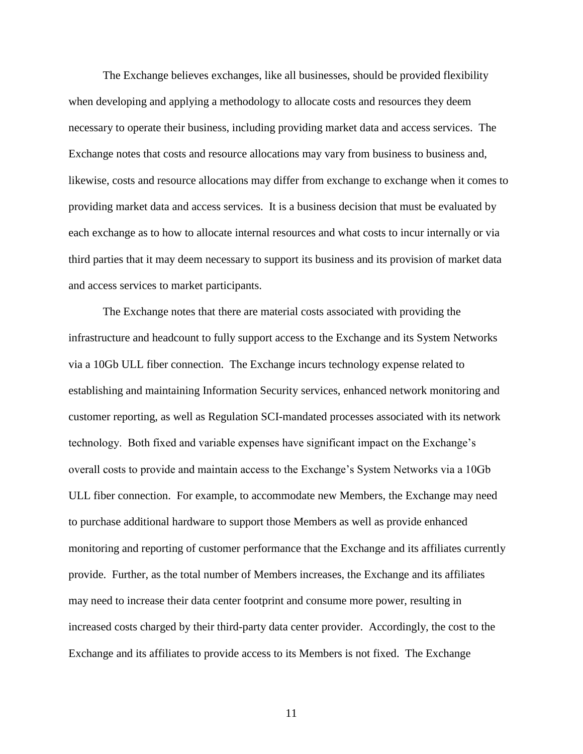The Exchange believes exchanges, like all businesses, should be provided flexibility when developing and applying a methodology to allocate costs and resources they deem necessary to operate their business, including providing market data and access services. The Exchange notes that costs and resource allocations may vary from business to business and, likewise, costs and resource allocations may differ from exchange to exchange when it comes to providing market data and access services. It is a business decision that must be evaluated by each exchange as to how to allocate internal resources and what costs to incur internally or via third parties that it may deem necessary to support its business and its provision of market data and access services to market participants.

The Exchange notes that there are material costs associated with providing the infrastructure and headcount to fully support access to the Exchange and its System Networks via a 10Gb ULL fiber connection. The Exchange incurs technology expense related to establishing and maintaining Information Security services, enhanced network monitoring and customer reporting, as well as Regulation SCI-mandated processes associated with its network technology. Both fixed and variable expenses have significant impact on the Exchange's overall costs to provide and maintain access to the Exchange's System Networks via a 10Gb ULL fiber connection. For example, to accommodate new Members, the Exchange may need to purchase additional hardware to support those Members as well as provide enhanced monitoring and reporting of customer performance that the Exchange and its affiliates currently provide. Further, as the total number of Members increases, the Exchange and its affiliates may need to increase their data center footprint and consume more power, resulting in increased costs charged by their third-party data center provider. Accordingly, the cost to the Exchange and its affiliates to provide access to its Members is not fixed. The Exchange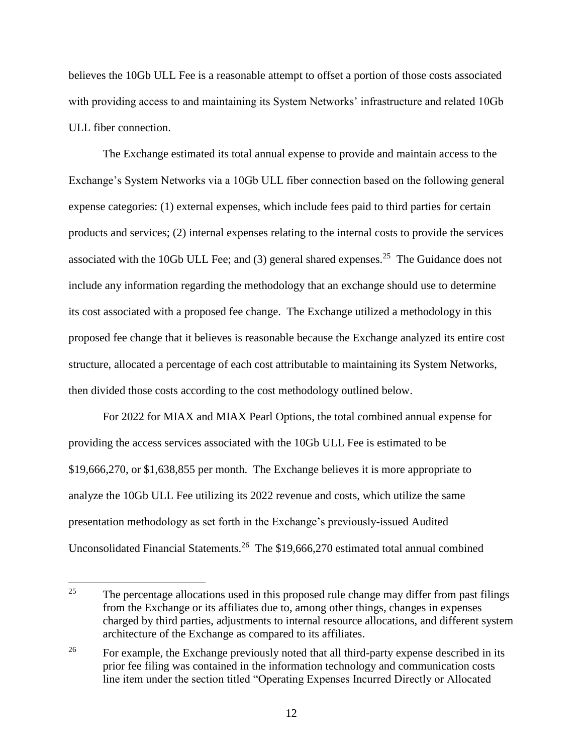believes the 10Gb ULL Fee is a reasonable attempt to offset a portion of those costs associated with providing access to and maintaining its System Networks' infrastructure and related 10Gb ULL fiber connection.

The Exchange estimated its total annual expense to provide and maintain access to the Exchange's System Networks via a 10Gb ULL fiber connection based on the following general expense categories: (1) external expenses, which include fees paid to third parties for certain products and services; (2) internal expenses relating to the internal costs to provide the services associated with the 10Gb ULL Fee; and  $(3)$  general shared expenses.<sup>25</sup> The Guidance does not include any information regarding the methodology that an exchange should use to determine its cost associated with a proposed fee change. The Exchange utilized a methodology in this proposed fee change that it believes is reasonable because the Exchange analyzed its entire cost structure, allocated a percentage of each cost attributable to maintaining its System Networks, then divided those costs according to the cost methodology outlined below.

For 2022 for MIAX and MIAX Pearl Options, the total combined annual expense for providing the access services associated with the 10Gb ULL Fee is estimated to be \$19,666,270, or \$1,638,855 per month. The Exchange believes it is more appropriate to analyze the 10Gb ULL Fee utilizing its 2022 revenue and costs, which utilize the same presentation methodology as set forth in the Exchange's previously-issued Audited Unconsolidated Financial Statements.<sup>26</sup> The \$19,666,270 estimated total annual combined

<sup>25</sup> The percentage allocations used in this proposed rule change may differ from past filings from the Exchange or its affiliates due to, among other things, changes in expenses charged by third parties, adjustments to internal resource allocations, and different system architecture of the Exchange as compared to its affiliates.

<sup>&</sup>lt;sup>26</sup> For example, the Exchange previously noted that all third-party expense described in its prior fee filing was contained in the information technology and communication costs line item under the section titled "Operating Expenses Incurred Directly or Allocated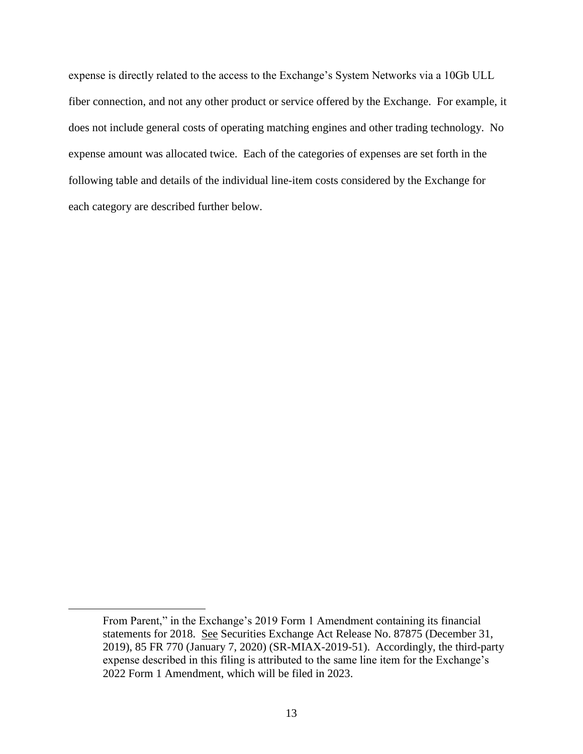expense is directly related to the access to the Exchange's System Networks via a 10Gb ULL fiber connection, and not any other product or service offered by the Exchange. For example, it does not include general costs of operating matching engines and other trading technology. No expense amount was allocated twice. Each of the categories of expenses are set forth in the following table and details of the individual line-item costs considered by the Exchange for each category are described further below.

 $\overline{\phantom{a}}$ 

From Parent," in the Exchange's 2019 Form 1 Amendment containing its financial statements for 2018. See Securities Exchange Act Release No. 87875 (December 31, 2019), 85 FR 770 (January 7, 2020) (SR-MIAX-2019-51). Accordingly, the third-party expense described in this filing is attributed to the same line item for the Exchange's 2022 Form 1 Amendment, which will be filed in 2023.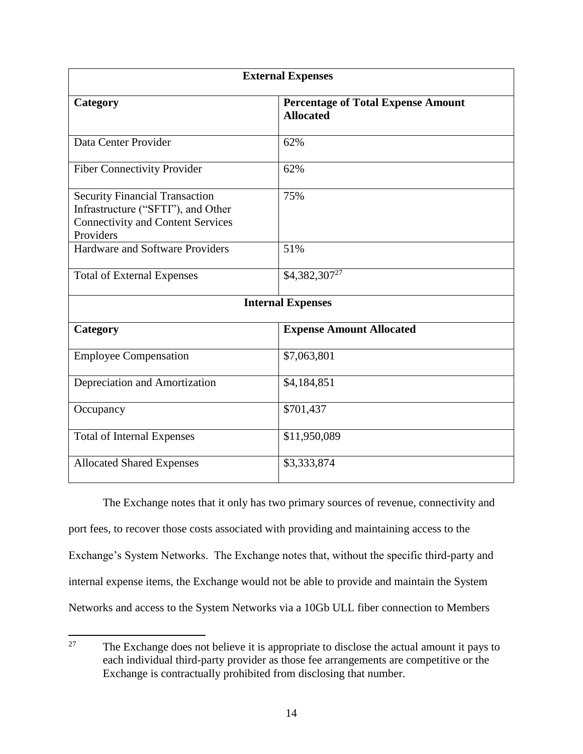| <b>External Expenses</b>                                                                                                             |                                                               |  |  |  |
|--------------------------------------------------------------------------------------------------------------------------------------|---------------------------------------------------------------|--|--|--|
| Category                                                                                                                             | <b>Percentage of Total Expense Amount</b><br><b>Allocated</b> |  |  |  |
| Data Center Provider                                                                                                                 | 62%                                                           |  |  |  |
| <b>Fiber Connectivity Provider</b>                                                                                                   | 62%                                                           |  |  |  |
| <b>Security Financial Transaction</b><br>Infrastructure ("SFTI"), and Other<br><b>Connectivity and Content Services</b><br>Providers | 75%                                                           |  |  |  |
| Hardware and Software Providers                                                                                                      | 51%                                                           |  |  |  |
| <b>Total of External Expenses</b>                                                                                                    | $$4,382,307^{27}$                                             |  |  |  |
| <b>Internal Expenses</b>                                                                                                             |                                                               |  |  |  |
| Category                                                                                                                             | <b>Expense Amount Allocated</b>                               |  |  |  |
| <b>Employee Compensation</b>                                                                                                         | \$7,063,801                                                   |  |  |  |
| Depreciation and Amortization                                                                                                        | \$4,184,851                                                   |  |  |  |
| Occupancy                                                                                                                            | \$701,437                                                     |  |  |  |
| <b>Total of Internal Expenses</b>                                                                                                    | \$11,950,089                                                  |  |  |  |
| <b>Allocated Shared Expenses</b>                                                                                                     | \$3,333,874                                                   |  |  |  |

The Exchange notes that it only has two primary sources of revenue, connectivity and port fees, to recover those costs associated with providing and maintaining access to the Exchange's System Networks. The Exchange notes that, without the specific third-party and internal expense items, the Exchange would not be able to provide and maintain the System Networks and access to the System Networks via a 10Gb ULL fiber connection to Members

<sup>27</sup> The Exchange does not believe it is appropriate to disclose the actual amount it pays to each individual third-party provider as those fee arrangements are competitive or the Exchange is contractually prohibited from disclosing that number.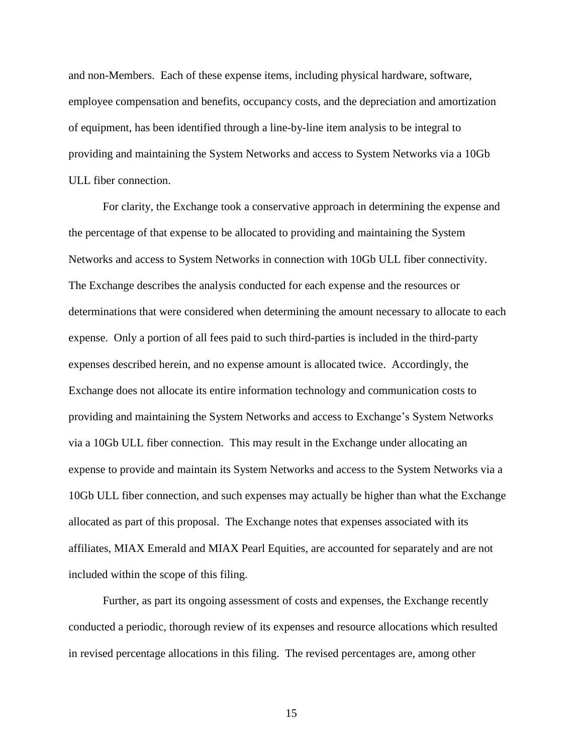and non-Members. Each of these expense items, including physical hardware, software, employee compensation and benefits, occupancy costs, and the depreciation and amortization of equipment, has been identified through a line-by-line item analysis to be integral to providing and maintaining the System Networks and access to System Networks via a 10Gb ULL fiber connection.

For clarity, the Exchange took a conservative approach in determining the expense and the percentage of that expense to be allocated to providing and maintaining the System Networks and access to System Networks in connection with 10Gb ULL fiber connectivity. The Exchange describes the analysis conducted for each expense and the resources or determinations that were considered when determining the amount necessary to allocate to each expense. Only a portion of all fees paid to such third-parties is included in the third-party expenses described herein, and no expense amount is allocated twice. Accordingly, the Exchange does not allocate its entire information technology and communication costs to providing and maintaining the System Networks and access to Exchange's System Networks via a 10Gb ULL fiber connection. This may result in the Exchange under allocating an expense to provide and maintain its System Networks and access to the System Networks via a 10Gb ULL fiber connection, and such expenses may actually be higher than what the Exchange allocated as part of this proposal. The Exchange notes that expenses associated with its affiliates, MIAX Emerald and MIAX Pearl Equities, are accounted for separately and are not included within the scope of this filing.

Further, as part its ongoing assessment of costs and expenses, the Exchange recently conducted a periodic, thorough review of its expenses and resource allocations which resulted in revised percentage allocations in this filing. The revised percentages are, among other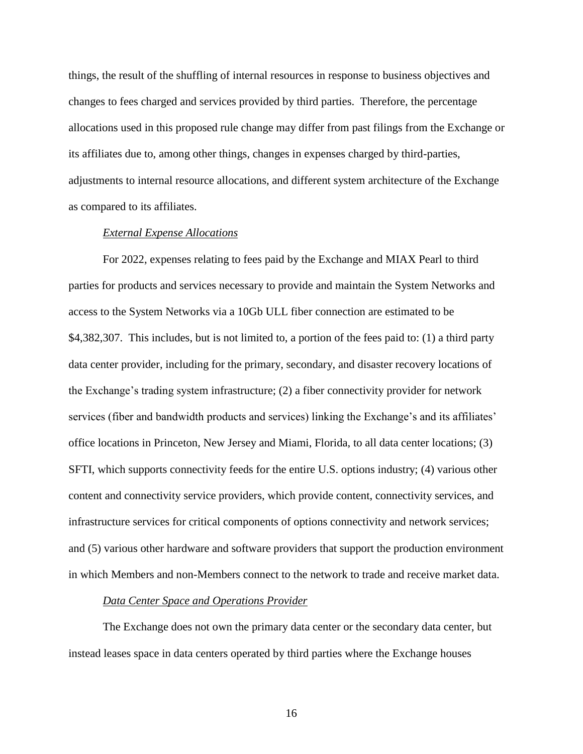things, the result of the shuffling of internal resources in response to business objectives and changes to fees charged and services provided by third parties. Therefore, the percentage allocations used in this proposed rule change may differ from past filings from the Exchange or its affiliates due to, among other things, changes in expenses charged by third-parties, adjustments to internal resource allocations, and different system architecture of the Exchange as compared to its affiliates.

## *External Expense Allocations*

For 2022, expenses relating to fees paid by the Exchange and MIAX Pearl to third parties for products and services necessary to provide and maintain the System Networks and access to the System Networks via a 10Gb ULL fiber connection are estimated to be \$4,382,307. This includes, but is not limited to, a portion of the fees paid to: (1) a third party data center provider, including for the primary, secondary, and disaster recovery locations of the Exchange's trading system infrastructure; (2) a fiber connectivity provider for network services (fiber and bandwidth products and services) linking the Exchange's and its affiliates' office locations in Princeton, New Jersey and Miami, Florida, to all data center locations; (3) SFTI, which supports connectivity feeds for the entire U.S. options industry; (4) various other content and connectivity service providers, which provide content, connectivity services, and infrastructure services for critical components of options connectivity and network services; and (5) various other hardware and software providers that support the production environment in which Members and non-Members connect to the network to trade and receive market data.

#### *Data Center Space and Operations Provider*

The Exchange does not own the primary data center or the secondary data center, but instead leases space in data centers operated by third parties where the Exchange houses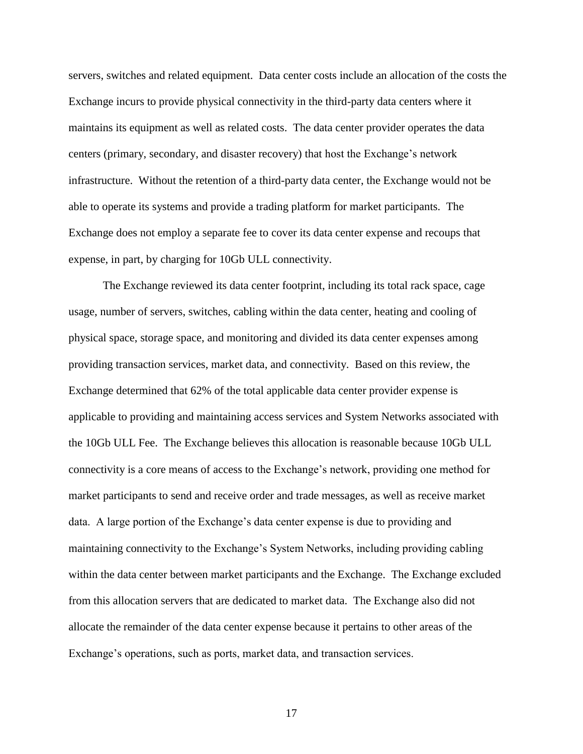servers, switches and related equipment. Data center costs include an allocation of the costs the Exchange incurs to provide physical connectivity in the third-party data centers where it maintains its equipment as well as related costs. The data center provider operates the data centers (primary, secondary, and disaster recovery) that host the Exchange's network infrastructure. Without the retention of a third-party data center, the Exchange would not be able to operate its systems and provide a trading platform for market participants. The Exchange does not employ a separate fee to cover its data center expense and recoups that expense, in part, by charging for 10Gb ULL connectivity.

The Exchange reviewed its data center footprint, including its total rack space, cage usage, number of servers, switches, cabling within the data center, heating and cooling of physical space, storage space, and monitoring and divided its data center expenses among providing transaction services, market data, and connectivity. Based on this review, the Exchange determined that 62% of the total applicable data center provider expense is applicable to providing and maintaining access services and System Networks associated with the 10Gb ULL Fee. The Exchange believes this allocation is reasonable because 10Gb ULL connectivity is a core means of access to the Exchange's network, providing one method for market participants to send and receive order and trade messages, as well as receive market data. A large portion of the Exchange's data center expense is due to providing and maintaining connectivity to the Exchange's System Networks, including providing cabling within the data center between market participants and the Exchange. The Exchange excluded from this allocation servers that are dedicated to market data. The Exchange also did not allocate the remainder of the data center expense because it pertains to other areas of the Exchange's operations, such as ports, market data, and transaction services.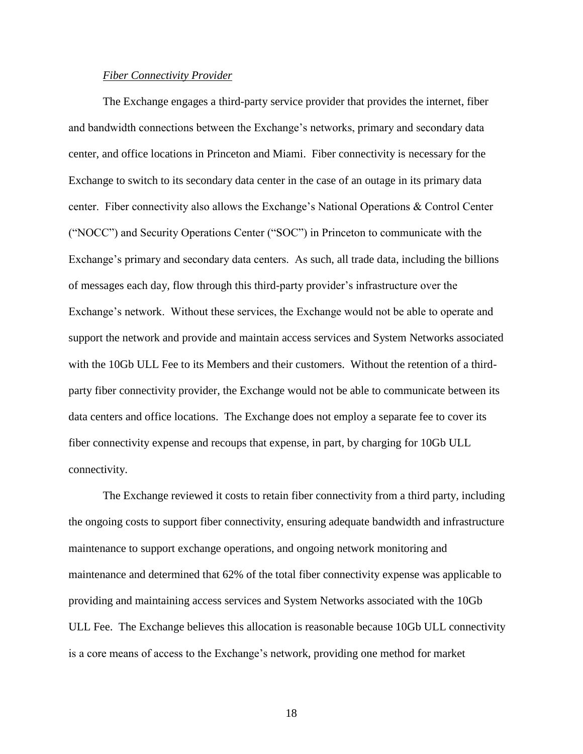### *Fiber Connectivity Provider*

The Exchange engages a third-party service provider that provides the internet, fiber and bandwidth connections between the Exchange's networks, primary and secondary data center, and office locations in Princeton and Miami. Fiber connectivity is necessary for the Exchange to switch to its secondary data center in the case of an outage in its primary data center. Fiber connectivity also allows the Exchange's National Operations & Control Center ("NOCC") and Security Operations Center ("SOC") in Princeton to communicate with the Exchange's primary and secondary data centers. As such, all trade data, including the billions of messages each day, flow through this third-party provider's infrastructure over the Exchange's network. Without these services, the Exchange would not be able to operate and support the network and provide and maintain access services and System Networks associated with the 10Gb ULL Fee to its Members and their customers. Without the retention of a thirdparty fiber connectivity provider, the Exchange would not be able to communicate between its data centers and office locations. The Exchange does not employ a separate fee to cover its fiber connectivity expense and recoups that expense, in part, by charging for 10Gb ULL connectivity.

The Exchange reviewed it costs to retain fiber connectivity from a third party, including the ongoing costs to support fiber connectivity, ensuring adequate bandwidth and infrastructure maintenance to support exchange operations, and ongoing network monitoring and maintenance and determined that 62% of the total fiber connectivity expense was applicable to providing and maintaining access services and System Networks associated with the 10Gb ULL Fee. The Exchange believes this allocation is reasonable because 10Gb ULL connectivity is a core means of access to the Exchange's network, providing one method for market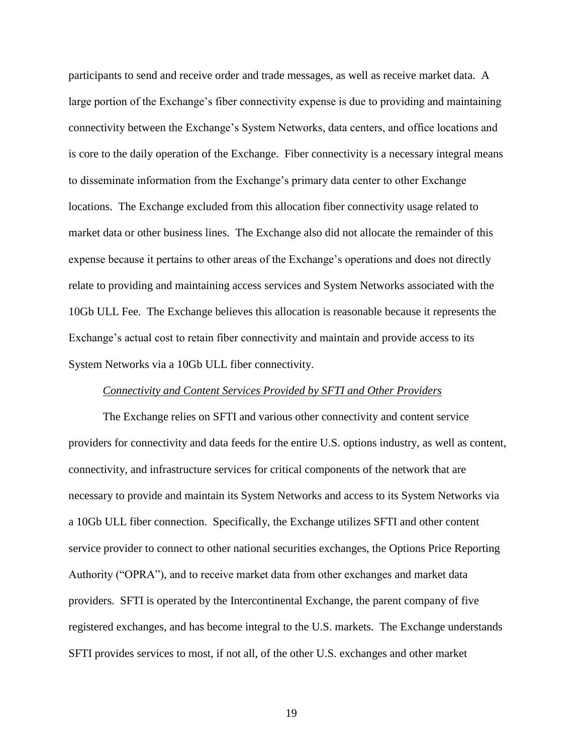participants to send and receive order and trade messages, as well as receive market data. A large portion of the Exchange's fiber connectivity expense is due to providing and maintaining connectivity between the Exchange's System Networks, data centers, and office locations and is core to the daily operation of the Exchange. Fiber connectivity is a necessary integral means to disseminate information from the Exchange's primary data center to other Exchange locations. The Exchange excluded from this allocation fiber connectivity usage related to market data or other business lines. The Exchange also did not allocate the remainder of this expense because it pertains to other areas of the Exchange's operations and does not directly relate to providing and maintaining access services and System Networks associated with the 10Gb ULL Fee. The Exchange believes this allocation is reasonable because it represents the Exchange's actual cost to retain fiber connectivity and maintain and provide access to its System Networks via a 10Gb ULL fiber connectivity.

### *Connectivity and Content Services Provided by SFTI and Other Providers*

The Exchange relies on SFTI and various other connectivity and content service providers for connectivity and data feeds for the entire U.S. options industry, as well as content, connectivity, and infrastructure services for critical components of the network that are necessary to provide and maintain its System Networks and access to its System Networks via a 10Gb ULL fiber connection. Specifically, the Exchange utilizes SFTI and other content service provider to connect to other national securities exchanges, the Options Price Reporting Authority ("OPRA"), and to receive market data from other exchanges and market data providers. SFTI is operated by the Intercontinental Exchange, the parent company of five registered exchanges, and has become integral to the U.S. markets. The Exchange understands SFTI provides services to most, if not all, of the other U.S. exchanges and other market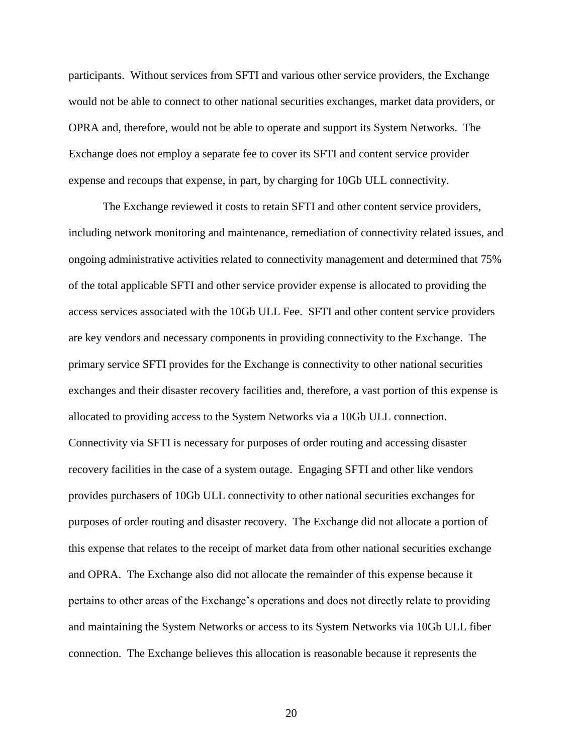participants. Without services from SFTI and various other service providers, the Exchange would not be able to connect to other national securities exchanges, market data providers, or OPRA and, therefore, would not be able to operate and support its System Networks. The Exchange does not employ a separate fee to cover its SFTI and content service provider expense and recoups that expense, in part, by charging for 10Gb ULL connectivity.

The Exchange reviewed it costs to retain SFTI and other content service providers, including network monitoring and maintenance, remediation of connectivity related issues, and ongoing administrative activities related to connectivity management and determined that 75% of the total applicable SFTI and other service provider expense is allocated to providing the access services associated with the 10Gb ULL Fee. SFTI and other content service providers are key vendors and necessary components in providing connectivity to the Exchange. The primary service SFTI provides for the Exchange is connectivity to other national securities exchanges and their disaster recovery facilities and, therefore, a vast portion of this expense is allocated to providing access to the System Networks via a 10Gb ULL connection. Connectivity via SFTI is necessary for purposes of order routing and accessing disaster recovery facilities in the case of a system outage. Engaging SFTI and other like vendors provides purchasers of 10Gb ULL connectivity to other national securities exchanges for purposes of order routing and disaster recovery. The Exchange did not allocate a portion of this expense that relates to the receipt of market data from other national securities exchange and OPRA. The Exchange also did not allocate the remainder of this expense because it pertains to other areas of the Exchange's operations and does not directly relate to providing and maintaining the System Networks or access to its System Networks via 10Gb ULL fiber connection. The Exchange believes this allocation is reasonable because it represents the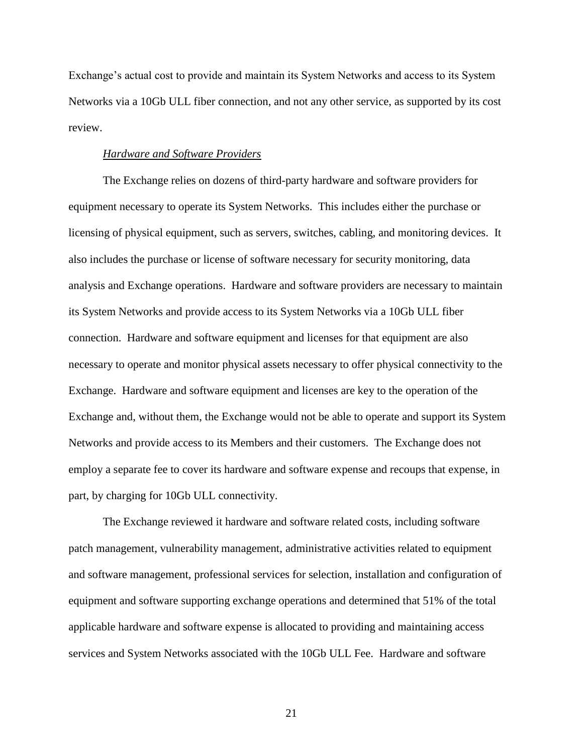Exchange's actual cost to provide and maintain its System Networks and access to its System Networks via a 10Gb ULL fiber connection, and not any other service, as supported by its cost review.

#### *Hardware and Software Providers*

The Exchange relies on dozens of third-party hardware and software providers for equipment necessary to operate its System Networks. This includes either the purchase or licensing of physical equipment, such as servers, switches, cabling, and monitoring devices. It also includes the purchase or license of software necessary for security monitoring, data analysis and Exchange operations. Hardware and software providers are necessary to maintain its System Networks and provide access to its System Networks via a 10Gb ULL fiber connection. Hardware and software equipment and licenses for that equipment are also necessary to operate and monitor physical assets necessary to offer physical connectivity to the Exchange. Hardware and software equipment and licenses are key to the operation of the Exchange and, without them, the Exchange would not be able to operate and support its System Networks and provide access to its Members and their customers. The Exchange does not employ a separate fee to cover its hardware and software expense and recoups that expense, in part, by charging for 10Gb ULL connectivity.

The Exchange reviewed it hardware and software related costs, including software patch management, vulnerability management, administrative activities related to equipment and software management, professional services for selection, installation and configuration of equipment and software supporting exchange operations and determined that 51% of the total applicable hardware and software expense is allocated to providing and maintaining access services and System Networks associated with the 10Gb ULL Fee. Hardware and software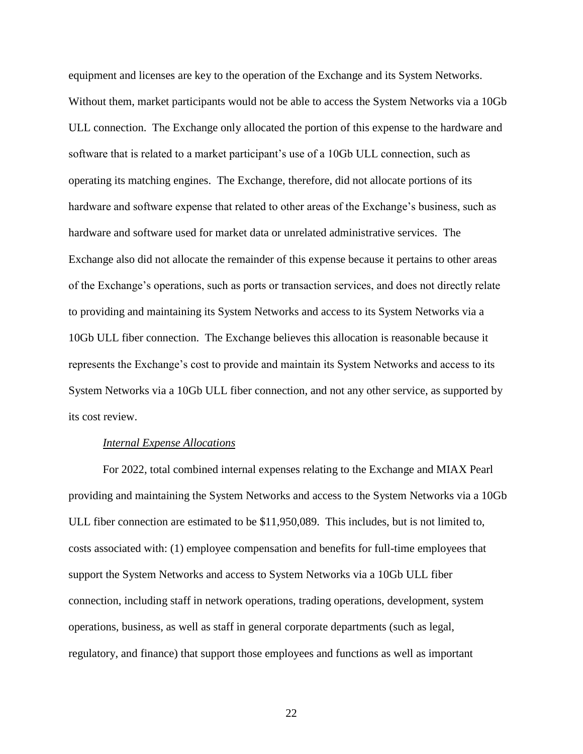equipment and licenses are key to the operation of the Exchange and its System Networks. Without them, market participants would not be able to access the System Networks via a 10Gb ULL connection. The Exchange only allocated the portion of this expense to the hardware and software that is related to a market participant's use of a 10Gb ULL connection, such as operating its matching engines. The Exchange, therefore, did not allocate portions of its hardware and software expense that related to other areas of the Exchange's business, such as hardware and software used for market data or unrelated administrative services. The Exchange also did not allocate the remainder of this expense because it pertains to other areas of the Exchange's operations, such as ports or transaction services, and does not directly relate to providing and maintaining its System Networks and access to its System Networks via a 10Gb ULL fiber connection. The Exchange believes this allocation is reasonable because it represents the Exchange's cost to provide and maintain its System Networks and access to its System Networks via a 10Gb ULL fiber connection, and not any other service, as supported by its cost review.

#### *Internal Expense Allocations*

For 2022, total combined internal expenses relating to the Exchange and MIAX Pearl providing and maintaining the System Networks and access to the System Networks via a 10Gb ULL fiber connection are estimated to be \$11,950,089. This includes, but is not limited to, costs associated with: (1) employee compensation and benefits for full-time employees that support the System Networks and access to System Networks via a 10Gb ULL fiber connection, including staff in network operations, trading operations, development, system operations, business, as well as staff in general corporate departments (such as legal, regulatory, and finance) that support those employees and functions as well as important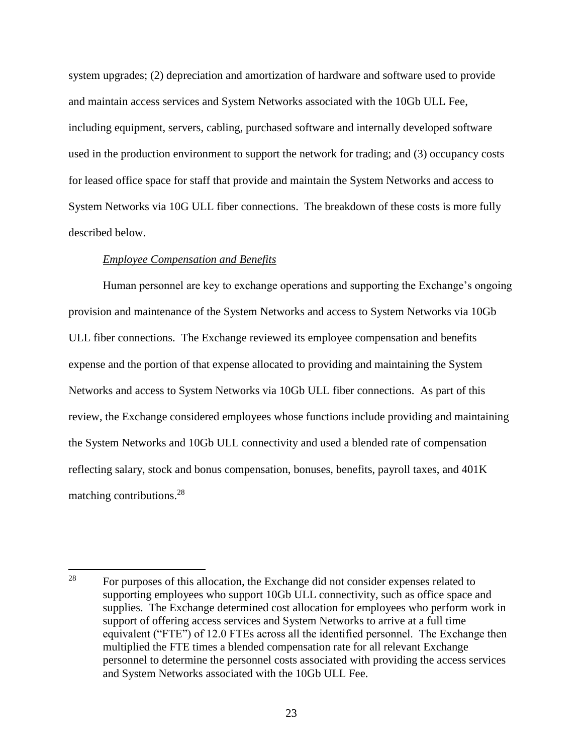system upgrades; (2) depreciation and amortization of hardware and software used to provide and maintain access services and System Networks associated with the 10Gb ULL Fee, including equipment, servers, cabling, purchased software and internally developed software used in the production environment to support the network for trading; and (3) occupancy costs for leased office space for staff that provide and maintain the System Networks and access to System Networks via 10G ULL fiber connections. The breakdown of these costs is more fully described below.

## *Employee Compensation and Benefits*

Human personnel are key to exchange operations and supporting the Exchange's ongoing provision and maintenance of the System Networks and access to System Networks via 10Gb ULL fiber connections. The Exchange reviewed its employee compensation and benefits expense and the portion of that expense allocated to providing and maintaining the System Networks and access to System Networks via 10Gb ULL fiber connections. As part of this review, the Exchange considered employees whose functions include providing and maintaining the System Networks and 10Gb ULL connectivity and used a blended rate of compensation reflecting salary, stock and bonus compensation, bonuses, benefits, payroll taxes, and 401K matching contributions.<sup>28</sup>

<sup>28</sup> <sup>28</sup> For purposes of this allocation, the Exchange did not consider expenses related to supporting employees who support 10Gb ULL connectivity, such as office space and supplies. The Exchange determined cost allocation for employees who perform work in support of offering access services and System Networks to arrive at a full time equivalent ("FTE") of 12.0 FTEs across all the identified personnel. The Exchange then multiplied the FTE times a blended compensation rate for all relevant Exchange personnel to determine the personnel costs associated with providing the access services and System Networks associated with the 10Gb ULL Fee.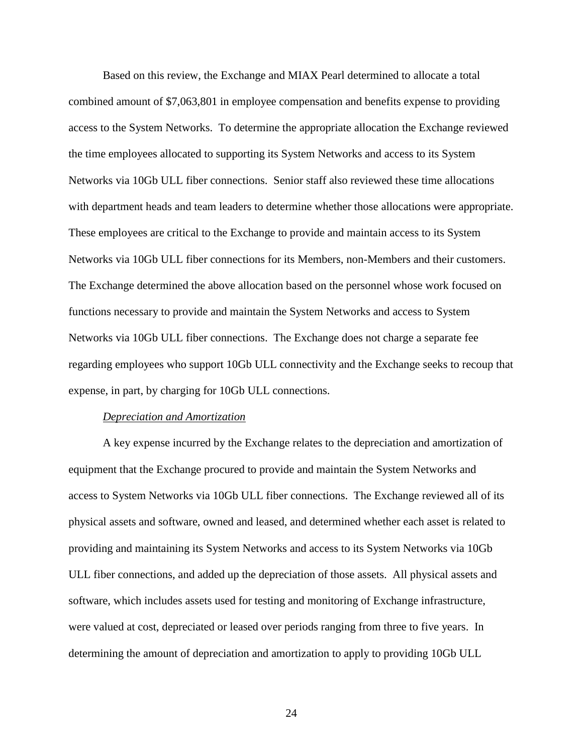Based on this review, the Exchange and MIAX Pearl determined to allocate a total combined amount of \$7,063,801 in employee compensation and benefits expense to providing access to the System Networks. To determine the appropriate allocation the Exchange reviewed the time employees allocated to supporting its System Networks and access to its System Networks via 10Gb ULL fiber connections. Senior staff also reviewed these time allocations with department heads and team leaders to determine whether those allocations were appropriate. These employees are critical to the Exchange to provide and maintain access to its System Networks via 10Gb ULL fiber connections for its Members, non-Members and their customers. The Exchange determined the above allocation based on the personnel whose work focused on functions necessary to provide and maintain the System Networks and access to System Networks via 10Gb ULL fiber connections. The Exchange does not charge a separate fee regarding employees who support 10Gb ULL connectivity and the Exchange seeks to recoup that expense, in part, by charging for 10Gb ULL connections.

#### *Depreciation and Amortization*

A key expense incurred by the Exchange relates to the depreciation and amortization of equipment that the Exchange procured to provide and maintain the System Networks and access to System Networks via 10Gb ULL fiber connections. The Exchange reviewed all of its physical assets and software, owned and leased, and determined whether each asset is related to providing and maintaining its System Networks and access to its System Networks via 10Gb ULL fiber connections, and added up the depreciation of those assets. All physical assets and software, which includes assets used for testing and monitoring of Exchange infrastructure, were valued at cost, depreciated or leased over periods ranging from three to five years. In determining the amount of depreciation and amortization to apply to providing 10Gb ULL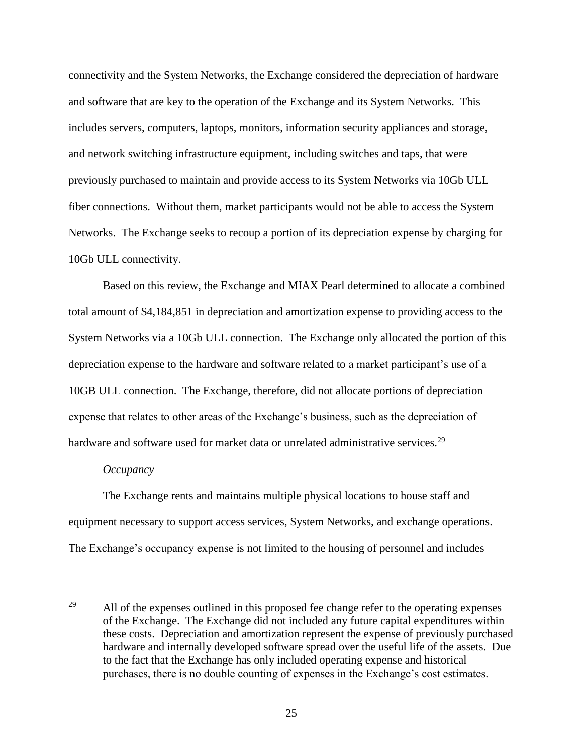connectivity and the System Networks, the Exchange considered the depreciation of hardware and software that are key to the operation of the Exchange and its System Networks. This includes servers, computers, laptops, monitors, information security appliances and storage, and network switching infrastructure equipment, including switches and taps, that were previously purchased to maintain and provide access to its System Networks via 10Gb ULL fiber connections. Without them, market participants would not be able to access the System Networks. The Exchange seeks to recoup a portion of its depreciation expense by charging for 10Gb ULL connectivity.

Based on this review, the Exchange and MIAX Pearl determined to allocate a combined total amount of \$4,184,851 in depreciation and amortization expense to providing access to the System Networks via a 10Gb ULL connection. The Exchange only allocated the portion of this depreciation expense to the hardware and software related to a market participant's use of a 10GB ULL connection. The Exchange, therefore, did not allocate portions of depreciation expense that relates to other areas of the Exchange's business, such as the depreciation of hardware and software used for market data or unrelated administrative services.<sup>29</sup>

#### *Occupancy*

 $\overline{\phantom{a}}$ 

The Exchange rents and maintains multiple physical locations to house staff and equipment necessary to support access services, System Networks, and exchange operations. The Exchange's occupancy expense is not limited to the housing of personnel and includes

<sup>&</sup>lt;sup>29</sup> All of the expenses outlined in this proposed fee change refer to the operating expenses of the Exchange. The Exchange did not included any future capital expenditures within these costs. Depreciation and amortization represent the expense of previously purchased hardware and internally developed software spread over the useful life of the assets. Due to the fact that the Exchange has only included operating expense and historical purchases, there is no double counting of expenses in the Exchange's cost estimates.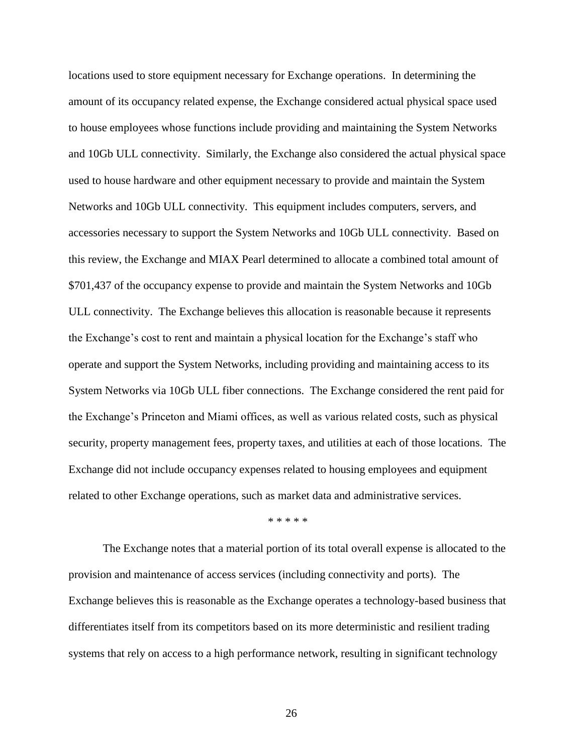locations used to store equipment necessary for Exchange operations. In determining the amount of its occupancy related expense, the Exchange considered actual physical space used to house employees whose functions include providing and maintaining the System Networks and 10Gb ULL connectivity. Similarly, the Exchange also considered the actual physical space used to house hardware and other equipment necessary to provide and maintain the System Networks and 10Gb ULL connectivity. This equipment includes computers, servers, and accessories necessary to support the System Networks and 10Gb ULL connectivity. Based on this review, the Exchange and MIAX Pearl determined to allocate a combined total amount of \$701,437 of the occupancy expense to provide and maintain the System Networks and 10Gb ULL connectivity. The Exchange believes this allocation is reasonable because it represents the Exchange's cost to rent and maintain a physical location for the Exchange's staff who operate and support the System Networks, including providing and maintaining access to its System Networks via 10Gb ULL fiber connections. The Exchange considered the rent paid for the Exchange's Princeton and Miami offices, as well as various related costs, such as physical security, property management fees, property taxes, and utilities at each of those locations. The Exchange did not include occupancy expenses related to housing employees and equipment related to other Exchange operations, such as market data and administrative services.

\* \* \* \* \*

The Exchange notes that a material portion of its total overall expense is allocated to the provision and maintenance of access services (including connectivity and ports). The Exchange believes this is reasonable as the Exchange operates a technology-based business that differentiates itself from its competitors based on its more deterministic and resilient trading systems that rely on access to a high performance network, resulting in significant technology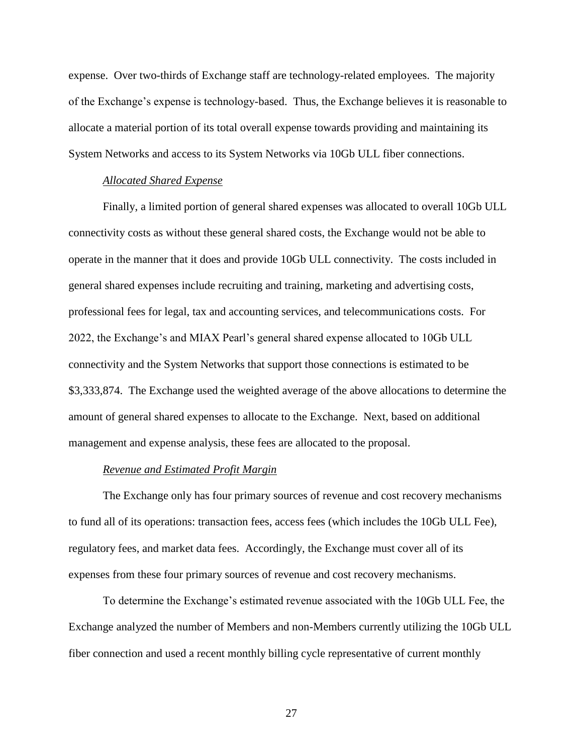expense. Over two-thirds of Exchange staff are technology-related employees. The majority of the Exchange's expense is technology-based. Thus, the Exchange believes it is reasonable to allocate a material portion of its total overall expense towards providing and maintaining its System Networks and access to its System Networks via 10Gb ULL fiber connections.

## *Allocated Shared Expense*

Finally, a limited portion of general shared expenses was allocated to overall 10Gb ULL connectivity costs as without these general shared costs, the Exchange would not be able to operate in the manner that it does and provide 10Gb ULL connectivity. The costs included in general shared expenses include recruiting and training, marketing and advertising costs, professional fees for legal, tax and accounting services, and telecommunications costs. For 2022, the Exchange's and MIAX Pearl's general shared expense allocated to 10Gb ULL connectivity and the System Networks that support those connections is estimated to be \$3,333,874. The Exchange used the weighted average of the above allocations to determine the amount of general shared expenses to allocate to the Exchange. Next, based on additional management and expense analysis, these fees are allocated to the proposal.

#### *Revenue and Estimated Profit Margin*

The Exchange only has four primary sources of revenue and cost recovery mechanisms to fund all of its operations: transaction fees, access fees (which includes the 10Gb ULL Fee), regulatory fees, and market data fees. Accordingly, the Exchange must cover all of its expenses from these four primary sources of revenue and cost recovery mechanisms.

To determine the Exchange's estimated revenue associated with the 10Gb ULL Fee, the Exchange analyzed the number of Members and non-Members currently utilizing the 10Gb ULL fiber connection and used a recent monthly billing cycle representative of current monthly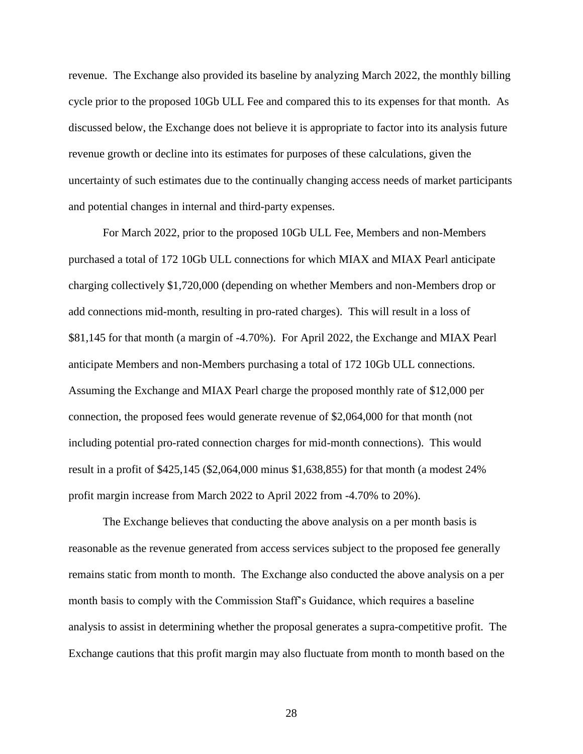revenue. The Exchange also provided its baseline by analyzing March 2022, the monthly billing cycle prior to the proposed 10Gb ULL Fee and compared this to its expenses for that month. As discussed below, the Exchange does not believe it is appropriate to factor into its analysis future revenue growth or decline into its estimates for purposes of these calculations, given the uncertainty of such estimates due to the continually changing access needs of market participants and potential changes in internal and third-party expenses.

For March 2022, prior to the proposed 10Gb ULL Fee, Members and non-Members purchased a total of 172 10Gb ULL connections for which MIAX and MIAX Pearl anticipate charging collectively \$1,720,000 (depending on whether Members and non-Members drop or add connections mid-month, resulting in pro-rated charges). This will result in a loss of \$81,145 for that month (a margin of -4.70%). For April 2022, the Exchange and MIAX Pearl anticipate Members and non-Members purchasing a total of 172 10Gb ULL connections. Assuming the Exchange and MIAX Pearl charge the proposed monthly rate of \$12,000 per connection, the proposed fees would generate revenue of \$2,064,000 for that month (not including potential pro-rated connection charges for mid-month connections). This would result in a profit of \$425,145 (\$2,064,000 minus \$1,638,855) for that month (a modest 24% profit margin increase from March 2022 to April 2022 from -4.70% to 20%).

The Exchange believes that conducting the above analysis on a per month basis is reasonable as the revenue generated from access services subject to the proposed fee generally remains static from month to month. The Exchange also conducted the above analysis on a per month basis to comply with the Commission Staff's Guidance, which requires a baseline analysis to assist in determining whether the proposal generates a supra-competitive profit. The Exchange cautions that this profit margin may also fluctuate from month to month based on the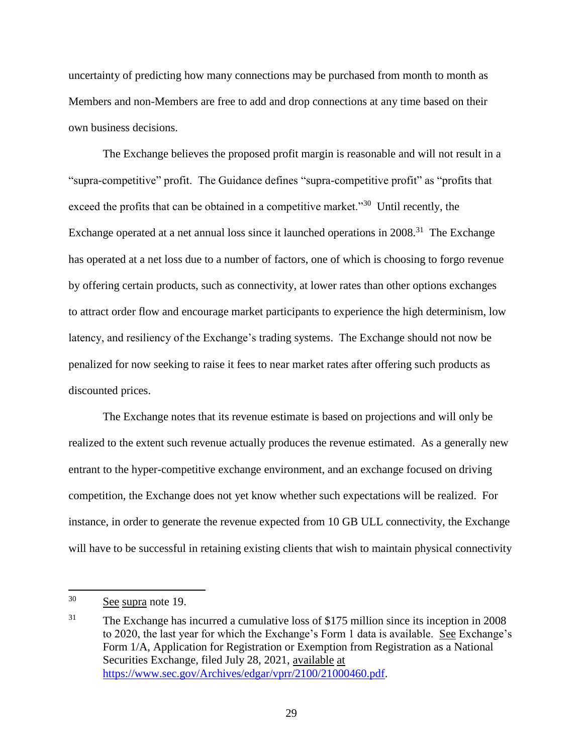uncertainty of predicting how many connections may be purchased from month to month as Members and non-Members are free to add and drop connections at any time based on their own business decisions.

The Exchange believes the proposed profit margin is reasonable and will not result in a "supra-competitive" profit. The Guidance defines "supra-competitive profit" as "profits that exceed the profits that can be obtained in a competitive market."<sup>30</sup> Until recently, the Exchange operated at a net annual loss since it launched operations in 2008.<sup>31</sup> The Exchange has operated at a net loss due to a number of factors, one of which is choosing to forgo revenue by offering certain products, such as connectivity, at lower rates than other options exchanges to attract order flow and encourage market participants to experience the high determinism, low latency, and resiliency of the Exchange's trading systems. The Exchange should not now be penalized for now seeking to raise it fees to near market rates after offering such products as discounted prices.

The Exchange notes that its revenue estimate is based on projections and will only be realized to the extent such revenue actually produces the revenue estimated. As a generally new entrant to the hyper-competitive exchange environment, and an exchange focused on driving competition, the Exchange does not yet know whether such expectations will be realized. For instance, in order to generate the revenue expected from 10 GB ULL connectivity, the Exchange will have to be successful in retaining existing clients that wish to maintain physical connectivity

<sup>30</sup> See supra note 19.

<sup>&</sup>lt;sup>31</sup> The Exchange has incurred a cumulative loss of \$175 million since its inception in 2008 to 2020, the last year for which the Exchange's Form 1 data is available. See Exchange's Form 1/A, Application for Registration or Exemption from Registration as a National Securities Exchange, filed July 28, 2021, available at [https://www.sec.gov/Archives/edgar/vprr/2100/21000460.pdf.](https://www.sec.gov/Archives/edgar/vprr/2100/21000460.pdf)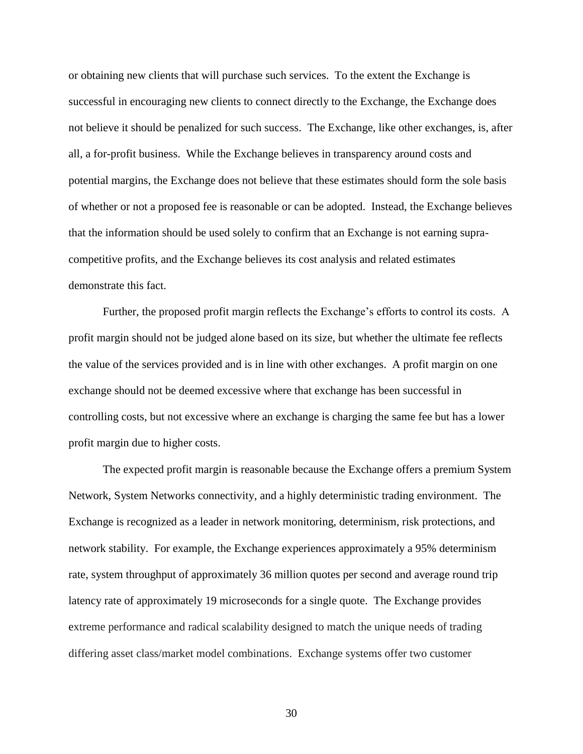or obtaining new clients that will purchase such services. To the extent the Exchange is successful in encouraging new clients to connect directly to the Exchange, the Exchange does not believe it should be penalized for such success. The Exchange, like other exchanges, is, after all, a for-profit business. While the Exchange believes in transparency around costs and potential margins, the Exchange does not believe that these estimates should form the sole basis of whether or not a proposed fee is reasonable or can be adopted. Instead, the Exchange believes that the information should be used solely to confirm that an Exchange is not earning supracompetitive profits, and the Exchange believes its cost analysis and related estimates demonstrate this fact.

Further, the proposed profit margin reflects the Exchange's efforts to control its costs. A profit margin should not be judged alone based on its size, but whether the ultimate fee reflects the value of the services provided and is in line with other exchanges. A profit margin on one exchange should not be deemed excessive where that exchange has been successful in controlling costs, but not excessive where an exchange is charging the same fee but has a lower profit margin due to higher costs.

The expected profit margin is reasonable because the Exchange offers a premium System Network, System Networks connectivity, and a highly deterministic trading environment. The Exchange is recognized as a leader in network monitoring, determinism, risk protections, and network stability. For example, the Exchange experiences approximately a 95% determinism rate, system throughput of approximately 36 million quotes per second and average round trip latency rate of approximately 19 microseconds for a single quote. The Exchange provides extreme performance and radical scalability designed to match the unique needs of trading differing asset class/market model combinations. Exchange systems offer two customer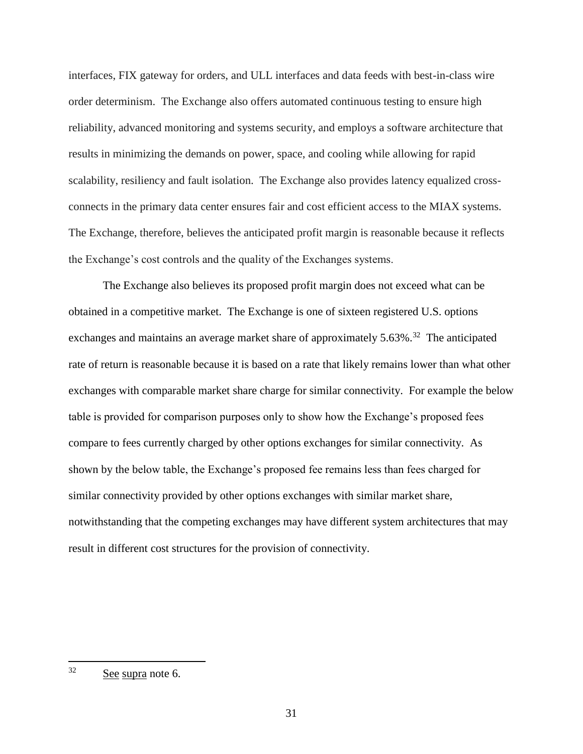interfaces, FIX gateway for orders, and ULL interfaces and data feeds with best-in-class wire order determinism. The Exchange also offers automated continuous testing to ensure high reliability, advanced monitoring and systems security, and employs a software architecture that results in minimizing the demands on power, space, and cooling while allowing for rapid scalability, resiliency and fault isolation. The Exchange also provides latency equalized crossconnects in the primary data center ensures fair and cost efficient access to the MIAX systems. The Exchange, therefore, believes the anticipated profit margin is reasonable because it reflects the Exchange's cost controls and the quality of the Exchanges systems.

The Exchange also believes its proposed profit margin does not exceed what can be obtained in a competitive market. The Exchange is one of sixteen registered U.S. options exchanges and maintains an average market share of approximately  $5.63\%$ <sup>32</sup> The anticipated rate of return is reasonable because it is based on a rate that likely remains lower than what other exchanges with comparable market share charge for similar connectivity. For example the below table is provided for comparison purposes only to show how the Exchange's proposed fees compare to fees currently charged by other options exchanges for similar connectivity. As shown by the below table, the Exchange's proposed fee remains less than fees charged for similar connectivity provided by other options exchanges with similar market share, notwithstanding that the competing exchanges may have different system architectures that may result in different cost structures for the provision of connectivity.

<sup>32</sup> See supra note 6.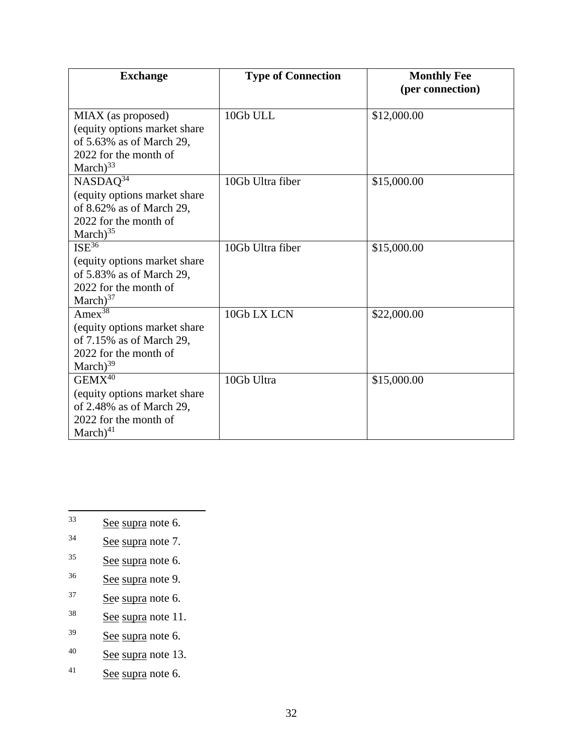| <b>Exchange</b>                                                                                                           | <b>Type of Connection</b> | <b>Monthly Fee</b><br>(per connection) |
|---------------------------------------------------------------------------------------------------------------------------|---------------------------|----------------------------------------|
| MIAX (as proposed)<br>(equity options market share<br>of 5.63% as of March 29,<br>2022 for the month of<br>March $)^{33}$ | 10Gb ULL                  | \$12,000.00                            |
| $NASDAQ^{34}$<br>(equity options market share)<br>of 8.62% as of March 29,<br>2022 for the month of<br>March $)^{35}$     | 10Gb Ultra fiber          | \$15,000.00                            |
| $ISE^{36}$<br>(equity options market share)<br>of 5.83% as of March 29,<br>2022 for the month of<br>$March$ <sup>37</sup> | 10Gb Ultra fiber          | \$15,000.00                            |
| Amex <sup>38</sup><br>(equity options market share<br>of 7.15% as of March 29,<br>2022 for the month of<br>$March)^{39}$  | 10Gb LX LCN               | \$22,000.00                            |
| $GEMX^{40}$<br>(equity options market share<br>of 2.48% as of March 29,<br>2022 for the month of<br>$March)^{41}$         | 10Gb Ultra                | \$15,000.00                            |

- $33$ See supra note 6.
- $34$  See supra note 7.
- $35$  See supra note 6.
- <sup>36</sup> See supra note 9.
- <sup>37</sup> See supra note 6.
- $38$  See supra note 11.
- <sup>39</sup> See supra note 6.
- $40$  See supra note 13.
- $41$  See supra note 6.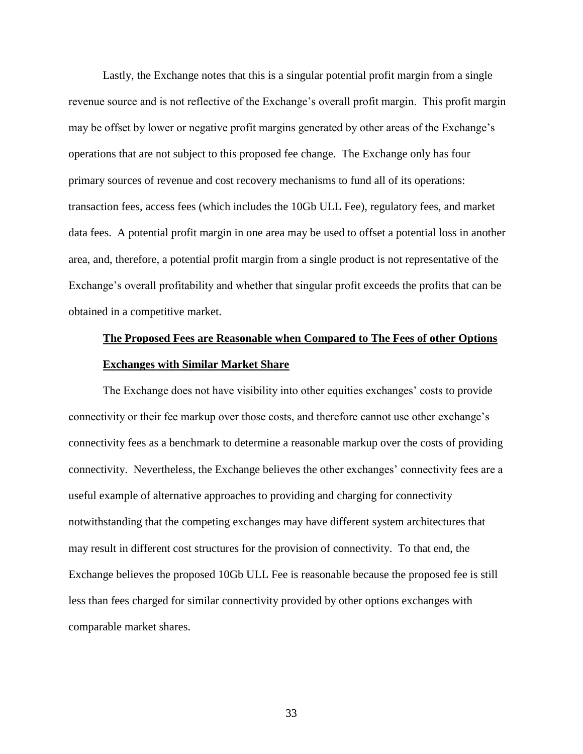Lastly, the Exchange notes that this is a singular potential profit margin from a single revenue source and is not reflective of the Exchange's overall profit margin. This profit margin may be offset by lower or negative profit margins generated by other areas of the Exchange's operations that are not subject to this proposed fee change. The Exchange only has four primary sources of revenue and cost recovery mechanisms to fund all of its operations: transaction fees, access fees (which includes the 10Gb ULL Fee), regulatory fees, and market data fees. A potential profit margin in one area may be used to offset a potential loss in another area, and, therefore, a potential profit margin from a single product is not representative of the Exchange's overall profitability and whether that singular profit exceeds the profits that can be obtained in a competitive market.

# **The Proposed Fees are Reasonable when Compared to The Fees of other Options Exchanges with Similar Market Share**

The Exchange does not have visibility into other equities exchanges' costs to provide connectivity or their fee markup over those costs, and therefore cannot use other exchange's connectivity fees as a benchmark to determine a reasonable markup over the costs of providing connectivity. Nevertheless, the Exchange believes the other exchanges' connectivity fees are a useful example of alternative approaches to providing and charging for connectivity notwithstanding that the competing exchanges may have different system architectures that may result in different cost structures for the provision of connectivity. To that end, the Exchange believes the proposed 10Gb ULL Fee is reasonable because the proposed fee is still less than fees charged for similar connectivity provided by other options exchanges with comparable market shares.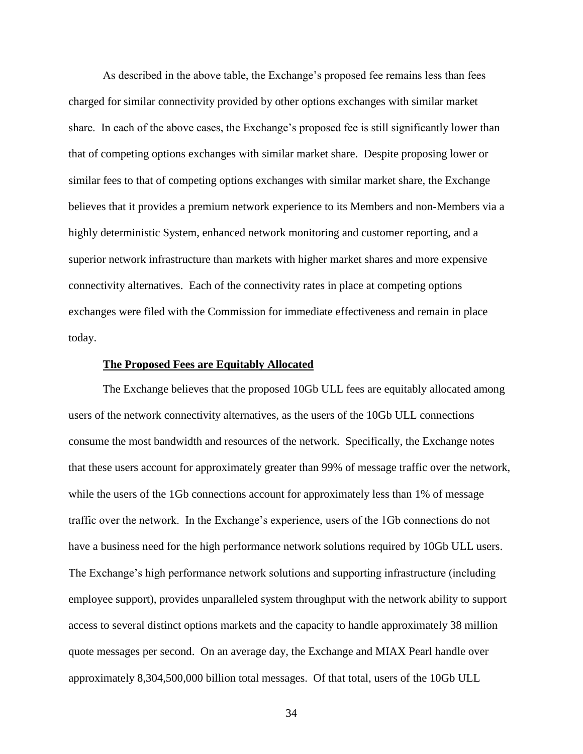As described in the above table, the Exchange's proposed fee remains less than fees charged for similar connectivity provided by other options exchanges with similar market share. In each of the above cases, the Exchange's proposed fee is still significantly lower than that of competing options exchanges with similar market share. Despite proposing lower or similar fees to that of competing options exchanges with similar market share, the Exchange believes that it provides a premium network experience to its Members and non-Members via a highly deterministic System, enhanced network monitoring and customer reporting, and a superior network infrastructure than markets with higher market shares and more expensive connectivity alternatives. Each of the connectivity rates in place at competing options exchanges were filed with the Commission for immediate effectiveness and remain in place today.

#### **The Proposed Fees are Equitably Allocated**

The Exchange believes that the proposed 10Gb ULL fees are equitably allocated among users of the network connectivity alternatives, as the users of the 10Gb ULL connections consume the most bandwidth and resources of the network. Specifically, the Exchange notes that these users account for approximately greater than 99% of message traffic over the network, while the users of the 1Gb connections account for approximately less than 1% of message traffic over the network. In the Exchange's experience, users of the 1Gb connections do not have a business need for the high performance network solutions required by 10Gb ULL users. The Exchange's high performance network solutions and supporting infrastructure (including employee support), provides unparalleled system throughput with the network ability to support access to several distinct options markets and the capacity to handle approximately 38 million quote messages per second. On an average day, the Exchange and MIAX Pearl handle over approximately 8,304,500,000 billion total messages. Of that total, users of the 10Gb ULL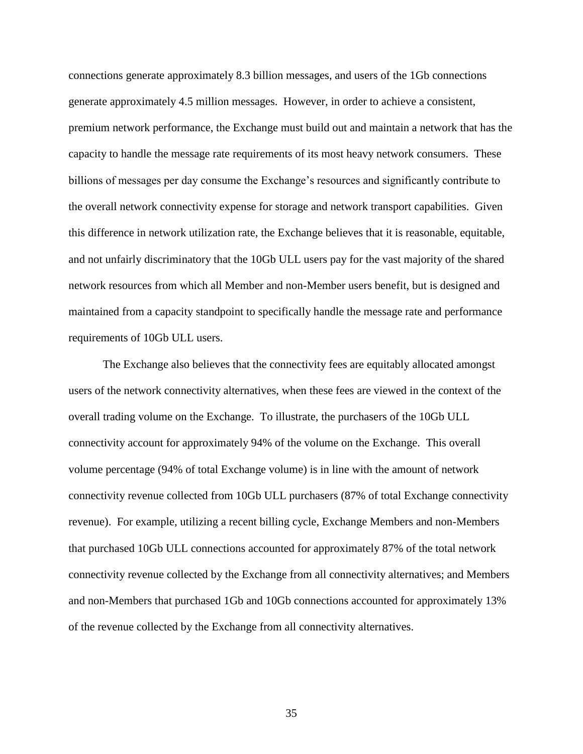connections generate approximately 8.3 billion messages, and users of the 1Gb connections generate approximately 4.5 million messages. However, in order to achieve a consistent, premium network performance, the Exchange must build out and maintain a network that has the capacity to handle the message rate requirements of its most heavy network consumers. These billions of messages per day consume the Exchange's resources and significantly contribute to the overall network connectivity expense for storage and network transport capabilities. Given this difference in network utilization rate, the Exchange believes that it is reasonable, equitable, and not unfairly discriminatory that the 10Gb ULL users pay for the vast majority of the shared network resources from which all Member and non-Member users benefit, but is designed and maintained from a capacity standpoint to specifically handle the message rate and performance requirements of 10Gb ULL users.

The Exchange also believes that the connectivity fees are equitably allocated amongst users of the network connectivity alternatives, when these fees are viewed in the context of the overall trading volume on the Exchange. To illustrate, the purchasers of the 10Gb ULL connectivity account for approximately 94% of the volume on the Exchange. This overall volume percentage (94% of total Exchange volume) is in line with the amount of network connectivity revenue collected from 10Gb ULL purchasers (87% of total Exchange connectivity revenue). For example, utilizing a recent billing cycle, Exchange Members and non-Members that purchased 10Gb ULL connections accounted for approximately 87% of the total network connectivity revenue collected by the Exchange from all connectivity alternatives; and Members and non-Members that purchased 1Gb and 10Gb connections accounted for approximately 13% of the revenue collected by the Exchange from all connectivity alternatives.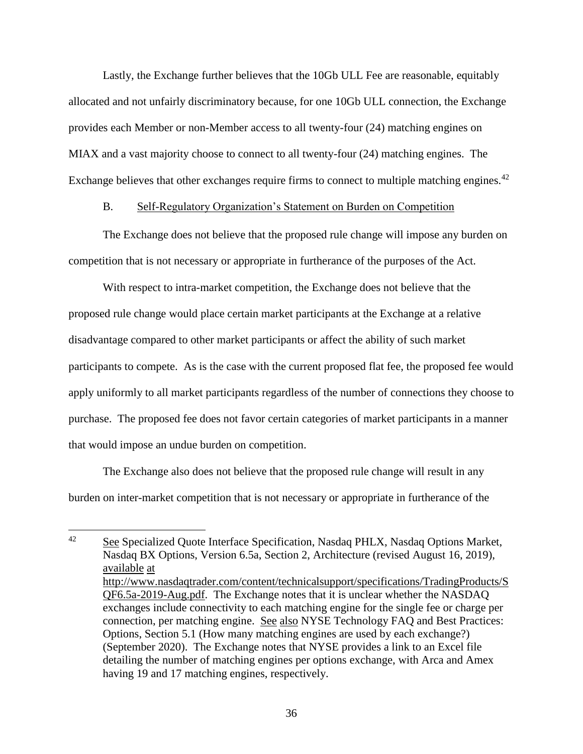Lastly, the Exchange further believes that the 10Gb ULL Fee are reasonable, equitably allocated and not unfairly discriminatory because, for one 10Gb ULL connection, the Exchange provides each Member or non-Member access to all twenty-four (24) matching engines on MIAX and a vast majority choose to connect to all twenty-four (24) matching engines. The Exchange believes that other exchanges require firms to connect to multiple matching engines.<sup>42</sup>

## B. Self-Regulatory Organization's Statement on Burden on Competition

The Exchange does not believe that the proposed rule change will impose any burden on competition that is not necessary or appropriate in furtherance of the purposes of the Act.

With respect to intra-market competition, the Exchange does not believe that the proposed rule change would place certain market participants at the Exchange at a relative disadvantage compared to other market participants or affect the ability of such market participants to compete. As is the case with the current proposed flat fee, the proposed fee would apply uniformly to all market participants regardless of the number of connections they choose to purchase. The proposed fee does not favor certain categories of market participants in a manner that would impose an undue burden on competition.

The Exchange also does not believe that the proposed rule change will result in any burden on inter-market competition that is not necessary or appropriate in furtherance of the

 $42$ See Specialized Quote Interface Specification, Nasdaq PHLX, Nasdaq Options Market, Nasdaq BX Options, Version 6.5a, Section 2, Architecture (revised August 16, 2019), available at [http://www.nasdaqtrader.com/content/technicalsupport/specifications/TradingProducts/S](http://www.nasdaqtrader.com/content/technicalsupport/specifications/TradingProducts/SQF6.5a-2019-Aug.pdf) [QF6.5a-2019-Aug.pdf.](http://www.nasdaqtrader.com/content/technicalsupport/specifications/TradingProducts/SQF6.5a-2019-Aug.pdf) The Exchange notes that it is unclear whether the NASDAQ exchanges include connectivity to each matching engine for the single fee or charge per connection, per matching engine. See also NYSE Technology FAQ and Best Practices: Options, Section 5.1 (How many matching engines are used by each exchange?) (September 2020). The Exchange notes that NYSE provides a link to an Excel file detailing the number of matching engines per options exchange, with Arca and Amex having 19 and 17 matching engines, respectively.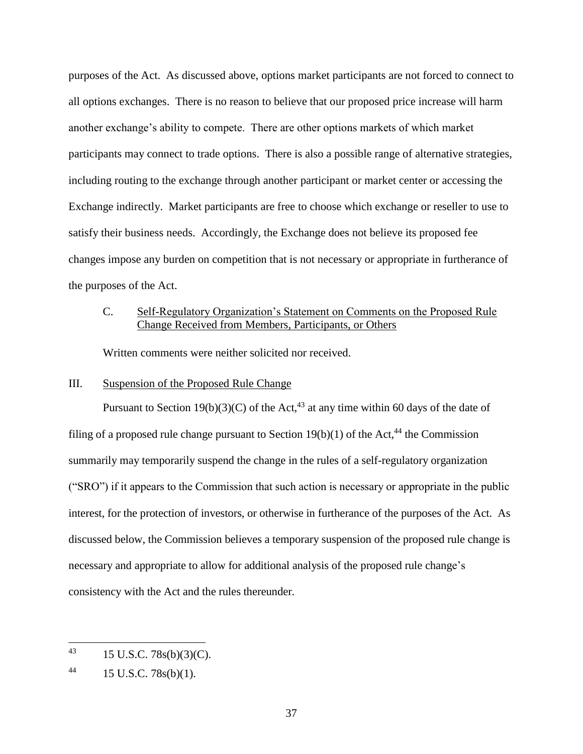purposes of the Act. As discussed above, options market participants are not forced to connect to all options exchanges. There is no reason to believe that our proposed price increase will harm another exchange's ability to compete. There are other options markets of which market participants may connect to trade options. There is also a possible range of alternative strategies, including routing to the exchange through another participant or market center or accessing the Exchange indirectly. Market participants are free to choose which exchange or reseller to use to satisfy their business needs. Accordingly, the Exchange does not believe its proposed fee changes impose any burden on competition that is not necessary or appropriate in furtherance of the purposes of the Act.

# C. Self-Regulatory Organization's Statement on Comments on the Proposed Rule Change Received from Members, Participants, or Others

Written comments were neither solicited nor received.

## III. Suspension of the Proposed Rule Change

Pursuant to Section 19(b)(3)(C) of the Act,<sup>43</sup> at any time within 60 days of the date of filing of a proposed rule change pursuant to Section 19(b)(1) of the Act,<sup>44</sup> the Commission summarily may temporarily suspend the change in the rules of a self-regulatory organization ("SRO") if it appears to the Commission that such action is necessary or appropriate in the public interest, for the protection of investors, or otherwise in furtherance of the purposes of the Act. As discussed below, the Commission believes a temporary suspension of the proposed rule change is necessary and appropriate to allow for additional analysis of the proposed rule change's consistency with the Act and the rules thereunder.

<sup>43</sup> <sup>43</sup> 15 U.S.C. 78s(b)(3)(C).

<sup>44 15</sup> U.S.C.  $78s(b)(1)$ .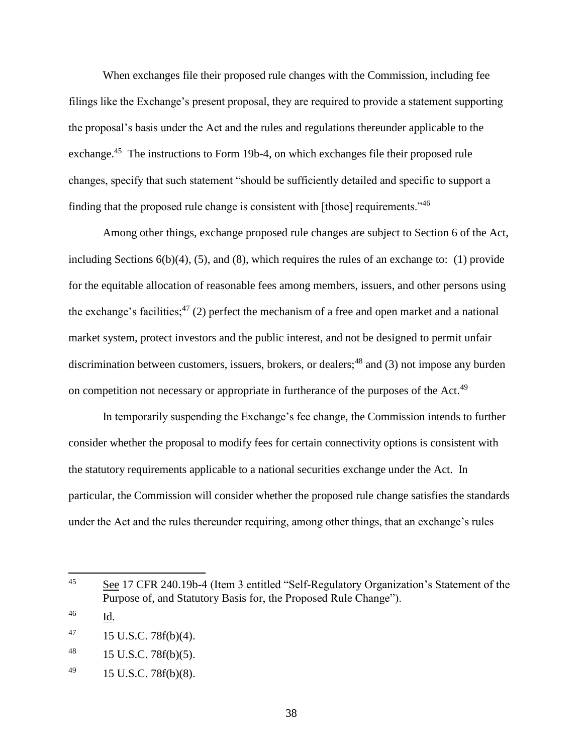When exchanges file their proposed rule changes with the Commission, including fee filings like the Exchange's present proposal, they are required to provide a statement supporting the proposal's basis under the Act and the rules and regulations thereunder applicable to the exchange.<sup>45</sup> The instructions to Form 19b-4, on which exchanges file their proposed rule changes, specify that such statement "should be sufficiently detailed and specific to support a finding that the proposed rule change is consistent with [those] requirements."<sup>46</sup>

Among other things, exchange proposed rule changes are subject to Section 6 of the Act, including Sections 6(b)(4), (5), and (8), which requires the rules of an exchange to: (1) provide for the equitable allocation of reasonable fees among members, issuers, and other persons using the exchange's facilities;<sup>47</sup> (2) perfect the mechanism of a free and open market and a national market system, protect investors and the public interest, and not be designed to permit unfair discrimination between customers, issuers, brokers, or dealers;  $48$  and (3) not impose any burden on competition not necessary or appropriate in furtherance of the purposes of the Act.<sup>49</sup>

In temporarily suspending the Exchange's fee change, the Commission intends to further consider whether the proposal to modify fees for certain connectivity options is consistent with the statutory requirements applicable to a national securities exchange under the Act. In particular, the Commission will consider whether the proposed rule change satisfies the standards under the Act and the rules thereunder requiring, among other things, that an exchange's rules

<sup>45</sup> See 17 CFR 240.19b-4 (Item 3 entitled "Self-Regulatory Organization's Statement of the Purpose of, and Statutory Basis for, the Proposed Rule Change").

<sup>46</sup> Id.

 $^{47}$  15 U.S.C. 78f(b)(4).

 $^{48}$  15 U.S.C. 78f(b)(5).

 $^{49}$  15 U.S.C. 78f(b)(8).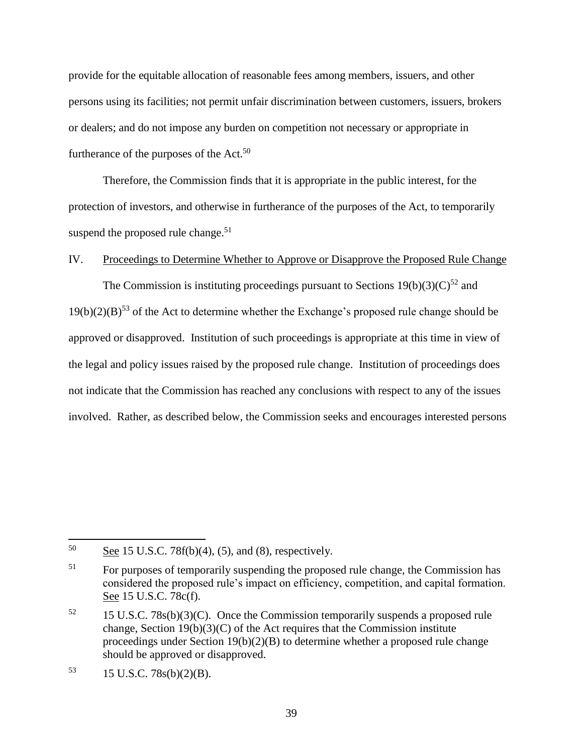provide for the equitable allocation of reasonable fees among members, issuers, and other persons using its facilities; not permit unfair discrimination between customers, issuers, brokers or dealers; and do not impose any burden on competition not necessary or appropriate in furtherance of the purposes of the  $Act.^{50}$ 

Therefore, the Commission finds that it is appropriate in the public interest, for the protection of investors, and otherwise in furtherance of the purposes of the Act, to temporarily suspend the proposed rule change. $51$ 

## IV. Proceedings to Determine Whether to Approve or Disapprove the Proposed Rule Change

The Commission is instituting proceedings pursuant to Sections  $19(b)(3)(C)^{52}$  and  $19(b)(2)(B)^{53}$  of the Act to determine whether the Exchange's proposed rule change should be approved or disapproved. Institution of such proceedings is appropriate at this time in view of the legal and policy issues raised by the proposed rule change. Institution of proceedings does not indicate that the Commission has reached any conclusions with respect to any of the issues involved. Rather, as described below, the Commission seeks and encourages interested persons

l

<sup>50</sup> See 15 U.S.C. 78 $f(b)(4)$ , (5), and (8), respectively.

<sup>&</sup>lt;sup>51</sup> For purposes of temporarily suspending the proposed rule change, the Commission has considered the proposed rule's impact on efficiency, competition, and capital formation. See 15 U.S.C. 78c(f).

 $52$  15 U.S.C. 78s(b)(3)(C). Once the Commission temporarily suspends a proposed rule change, Section  $19(b)(3)(C)$  of the Act requires that the Commission institute proceedings under Section 19(b)(2)(B) to determine whether a proposed rule change should be approved or disapproved.

 $15$  U.S.C. 78s(b)(2)(B).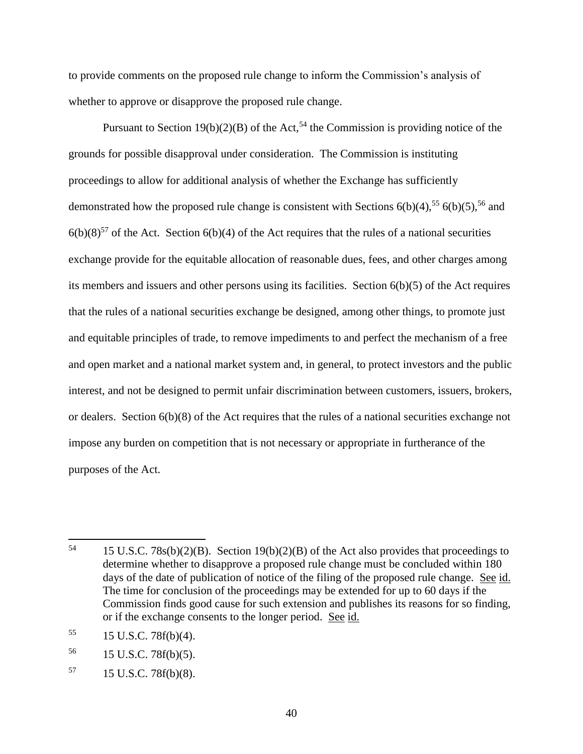to provide comments on the proposed rule change to inform the Commission's analysis of whether to approve or disapprove the proposed rule change.

Pursuant to Section 19(b)(2)(B) of the Act,<sup>54</sup> the Commission is providing notice of the grounds for possible disapproval under consideration. The Commission is instituting proceedings to allow for additional analysis of whether the Exchange has sufficiently demonstrated how the proposed rule change is consistent with Sections  $6(b)(4)$ ,<sup>55</sup>  $6(b)(5)$ ,<sup>56</sup> and  $6(b)(8)^{57}$  of the Act. Section  $6(b)(4)$  of the Act requires that the rules of a national securities exchange provide for the equitable allocation of reasonable dues, fees, and other charges among its members and issuers and other persons using its facilities. Section 6(b)(5) of the Act requires that the rules of a national securities exchange be designed, among other things, to promote just and equitable principles of trade, to remove impediments to and perfect the mechanism of a free and open market and a national market system and, in general, to protect investors and the public interest, and not be designed to permit unfair discrimination between customers, issuers, brokers, or dealers. Section 6(b)(8) of the Act requires that the rules of a national securities exchange not impose any burden on competition that is not necessary or appropriate in furtherance of the purposes of the Act.

l

 $57 \qquad 15 \text{ U.S.C. } 78f(b)(8).$ 

<sup>&</sup>lt;sup>54</sup> 15 U.S.C. 78s(b)(2)(B). Section 19(b)(2)(B) of the Act also provides that proceedings to determine whether to disapprove a proposed rule change must be concluded within 180 days of the date of publication of notice of the filing of the proposed rule change. See id. The time for conclusion of the proceedings may be extended for up to 60 days if the Commission finds good cause for such extension and publishes its reasons for so finding, or if the exchange consents to the longer period. See id.

<sup>55</sup> 15 U.S.C. 78f(b)(4).

<sup>56</sup> 15 U.S.C. 78f(b)(5).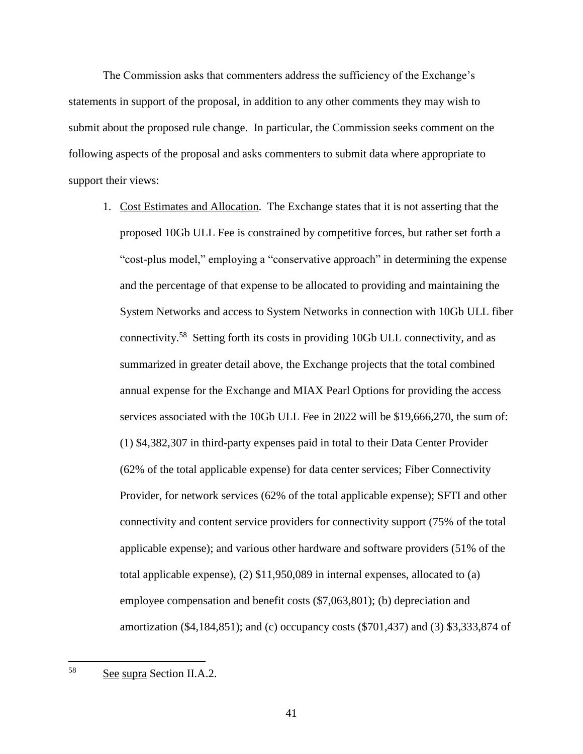The Commission asks that commenters address the sufficiency of the Exchange's statements in support of the proposal, in addition to any other comments they may wish to submit about the proposed rule change. In particular, the Commission seeks comment on the following aspects of the proposal and asks commenters to submit data where appropriate to support their views:

1. Cost Estimates and Allocation. The Exchange states that it is not asserting that the proposed 10Gb ULL Fee is constrained by competitive forces, but rather set forth a "cost-plus model," employing a "conservative approach" in determining the expense and the percentage of that expense to be allocated to providing and maintaining the System Networks and access to System Networks in connection with 10Gb ULL fiber connectivity. 58 Setting forth its costs in providing 10Gb ULL connectivity, and as summarized in greater detail above, the Exchange projects that the total combined annual expense for the Exchange and MIAX Pearl Options for providing the access services associated with the 10Gb ULL Fee in 2022 will be \$19,666,270, the sum of: (1) \$4,382,307 in third-party expenses paid in total to their Data Center Provider (62% of the total applicable expense) for data center services; Fiber Connectivity Provider, for network services (62% of the total applicable expense); SFTI and other connectivity and content service providers for connectivity support (75% of the total applicable expense); and various other hardware and software providers (51% of the total applicable expense), (2) \$11,950,089 in internal expenses, allocated to (a) employee compensation and benefit costs (\$7,063,801); (b) depreciation and amortization (\$4,184,851); and (c) occupancy costs (\$701,437) and (3) \$3,333,874 of

58 See supra Section II.A.2.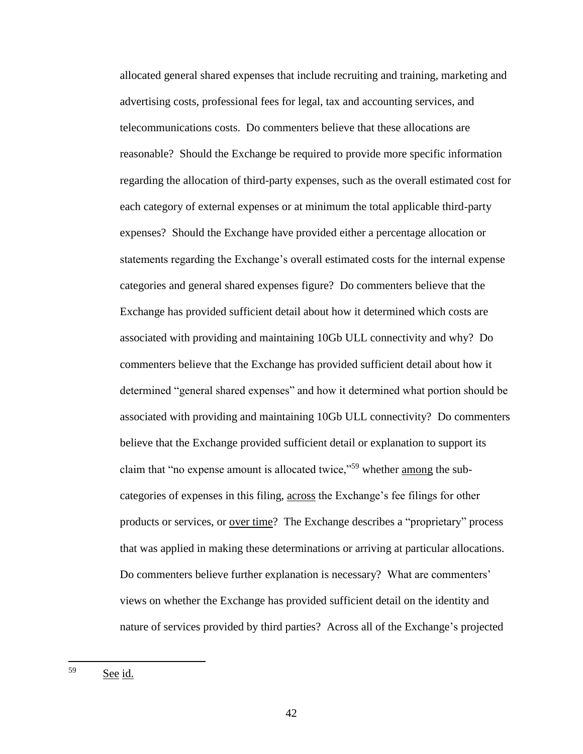allocated general shared expenses that include recruiting and training, marketing and advertising costs, professional fees for legal, tax and accounting services, and telecommunications costs. Do commenters believe that these allocations are reasonable? Should the Exchange be required to provide more specific information regarding the allocation of third-party expenses, such as the overall estimated cost for each category of external expenses or at minimum the total applicable third-party expenses? Should the Exchange have provided either a percentage allocation or statements regarding the Exchange's overall estimated costs for the internal expense categories and general shared expenses figure? Do commenters believe that the Exchange has provided sufficient detail about how it determined which costs are associated with providing and maintaining 10Gb ULL connectivity and why? Do commenters believe that the Exchange has provided sufficient detail about how it determined "general shared expenses" and how it determined what portion should be associated with providing and maintaining 10Gb ULL connectivity? Do commenters believe that the Exchange provided sufficient detail or explanation to support its claim that "no expense amount is allocated twice,"<sup>59</sup> whether among the subcategories of expenses in this filing, across the Exchange's fee filings for other products or services, or <u>over time</u>? The Exchange describes a "proprietary" process that was applied in making these determinations or arriving at particular allocations. Do commenters believe further explanation is necessary? What are commenters' views on whether the Exchange has provided sufficient detail on the identity and nature of services provided by third parties? Across all of the Exchange's projected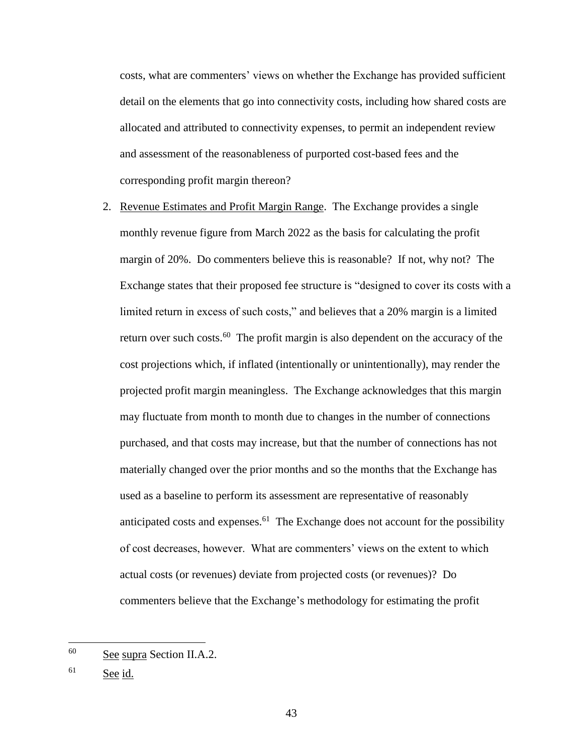costs, what are commenters' views on whether the Exchange has provided sufficient detail on the elements that go into connectivity costs, including how shared costs are allocated and attributed to connectivity expenses, to permit an independent review and assessment of the reasonableness of purported cost-based fees and the corresponding profit margin thereon?

2. Revenue Estimates and Profit Margin Range. The Exchange provides a single monthly revenue figure from March 2022 as the basis for calculating the profit margin of 20%. Do commenters believe this is reasonable? If not, why not? The Exchange states that their proposed fee structure is "designed to cover its costs with a limited return in excess of such costs," and believes that a 20% margin is a limited return over such costs.<sup>60</sup> The profit margin is also dependent on the accuracy of the cost projections which, if inflated (intentionally or unintentionally), may render the projected profit margin meaningless. The Exchange acknowledges that this margin may fluctuate from month to month due to changes in the number of connections purchased, and that costs may increase, but that the number of connections has not materially changed over the prior months and so the months that the Exchange has used as a baseline to perform its assessment are representative of reasonably anticipated costs and expenses.<sup>61</sup> The Exchange does not account for the possibility of cost decreases, however. What are commenters' views on the extent to which actual costs (or revenues) deviate from projected costs (or revenues)? Do commenters believe that the Exchange's methodology for estimating the profit

<sup>60</sup> See supra Section II.A.2.

<sup>61</sup> See id.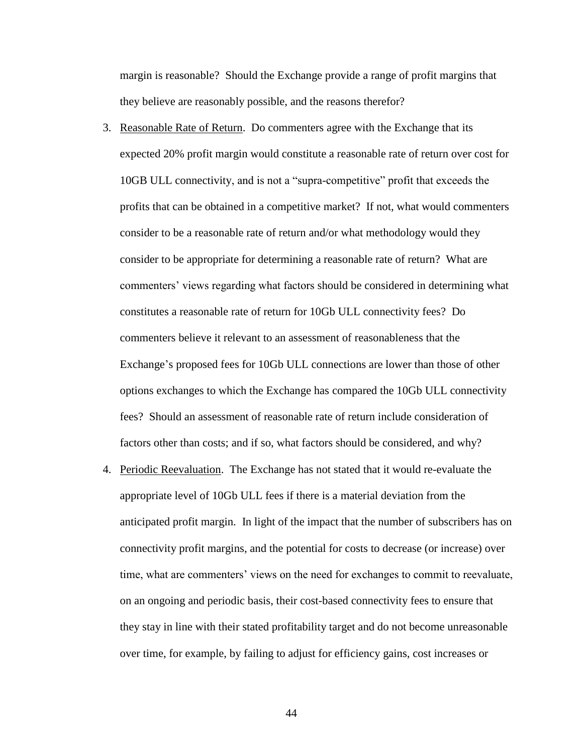margin is reasonable? Should the Exchange provide a range of profit margins that they believe are reasonably possible, and the reasons therefor?

- 3. Reasonable Rate of Return. Do commenters agree with the Exchange that its expected 20% profit margin would constitute a reasonable rate of return over cost for 10GB ULL connectivity, and is not a "supra-competitive" profit that exceeds the profits that can be obtained in a competitive market? If not, what would commenters consider to be a reasonable rate of return and/or what methodology would they consider to be appropriate for determining a reasonable rate of return? What are commenters' views regarding what factors should be considered in determining what constitutes a reasonable rate of return for 10Gb ULL connectivity fees? Do commenters believe it relevant to an assessment of reasonableness that the Exchange's proposed fees for 10Gb ULL connections are lower than those of other options exchanges to which the Exchange has compared the 10Gb ULL connectivity fees? Should an assessment of reasonable rate of return include consideration of factors other than costs; and if so, what factors should be considered, and why?
- 4. Periodic Reevaluation. The Exchange has not stated that it would re-evaluate the appropriate level of 10Gb ULL fees if there is a material deviation from the anticipated profit margin. In light of the impact that the number of subscribers has on connectivity profit margins, and the potential for costs to decrease (or increase) over time, what are commenters' views on the need for exchanges to commit to reevaluate, on an ongoing and periodic basis, their cost-based connectivity fees to ensure that they stay in line with their stated profitability target and do not become unreasonable over time, for example, by failing to adjust for efficiency gains, cost increases or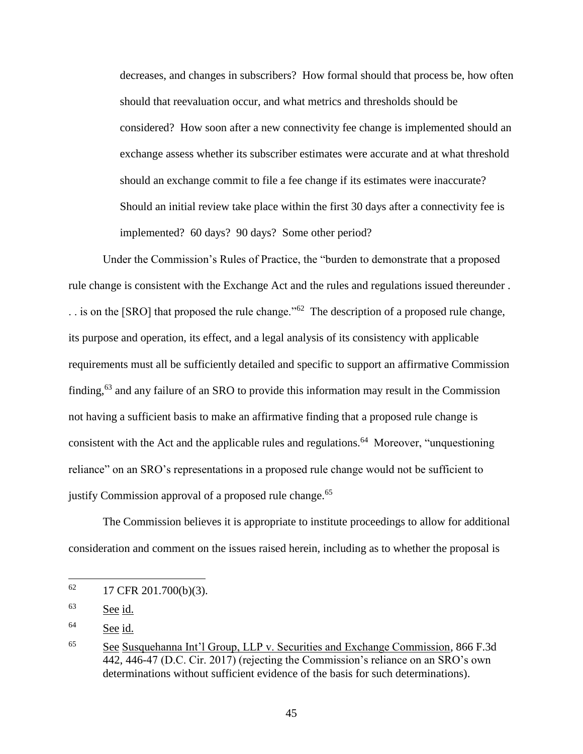decreases, and changes in subscribers? How formal should that process be, how often should that reevaluation occur, and what metrics and thresholds should be considered? How soon after a new connectivity fee change is implemented should an exchange assess whether its subscriber estimates were accurate and at what threshold should an exchange commit to file a fee change if its estimates were inaccurate? Should an initial review take place within the first 30 days after a connectivity fee is implemented? 60 days? 90 days? Some other period?

Under the Commission's Rules of Practice, the "burden to demonstrate that a proposed rule change is consistent with the Exchange Act and the rules and regulations issued thereunder .  $\ldots$  is on the [SRO] that proposed the rule change."<sup>62</sup> The description of a proposed rule change, its purpose and operation, its effect, and a legal analysis of its consistency with applicable requirements must all be sufficiently detailed and specific to support an affirmative Commission finding,<sup>63</sup> and any failure of an SRO to provide this information may result in the Commission not having a sufficient basis to make an affirmative finding that a proposed rule change is consistent with the Act and the applicable rules and regulations.<sup>64</sup> Moreover, "unquestioning reliance" on an SRO's representations in a proposed rule change would not be sufficient to justify Commission approval of a proposed rule change.<sup>65</sup>

The Commission believes it is appropriate to institute proceedings to allow for additional consideration and comment on the issues raised herein, including as to whether the proposal is

<sup>62</sup> 17 CFR 201.700(b)(3).

<sup>63</sup> See id.

<sup>64</sup> See id.

<sup>65</sup> See Susquehanna Int'l Group, LLP v. Securities and Exchange Commission, 866 F.3d 442, 446-47 (D.C. Cir. 2017) (rejecting the Commission's reliance on an SRO's own determinations without sufficient evidence of the basis for such determinations).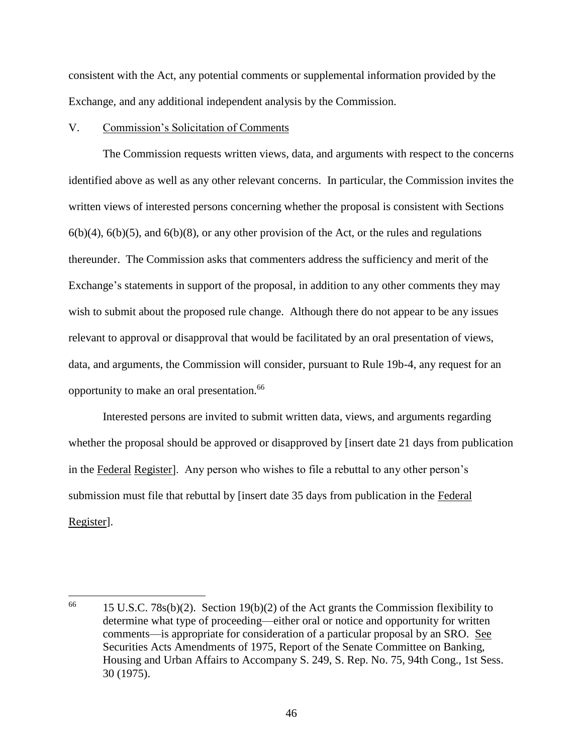consistent with the Act, any potential comments or supplemental information provided by the Exchange, and any additional independent analysis by the Commission.

## V. Commission's Solicitation of Comments

 $\overline{\phantom{a}}$ 

The Commission requests written views, data, and arguments with respect to the concerns identified above as well as any other relevant concerns. In particular, the Commission invites the written views of interested persons concerning whether the proposal is consistent with Sections  $6(b)(4)$ ,  $6(b)(5)$ , and  $6(b)(8)$ , or any other provision of the Act, or the rules and regulations thereunder. The Commission asks that commenters address the sufficiency and merit of the Exchange's statements in support of the proposal, in addition to any other comments they may wish to submit about the proposed rule change. Although there do not appear to be any issues relevant to approval or disapproval that would be facilitated by an oral presentation of views, data, and arguments, the Commission will consider, pursuant to Rule 19b-4, any request for an opportunity to make an oral presentation.<sup>66</sup>

Interested persons are invited to submit written data, views, and arguments regarding whether the proposal should be approved or disapproved by [insert date 21 days from publication in the Federal Register]. Any person who wishes to file a rebuttal to any other person's submission must file that rebuttal by [insert date 35 days from publication in the Federal Register].

<sup>&</sup>lt;sup>66</sup> 15 U.S.C. 78s(b)(2). Section 19(b)(2) of the Act grants the Commission flexibility to determine what type of proceeding—either oral or notice and opportunity for written comments—is appropriate for consideration of a particular proposal by an SRO. See Securities Acts Amendments of 1975, Report of the Senate Committee on Banking, Housing and Urban Affairs to Accompany S. 249, S. Rep. No. 75, 94th Cong., 1st Sess. 30 (1975).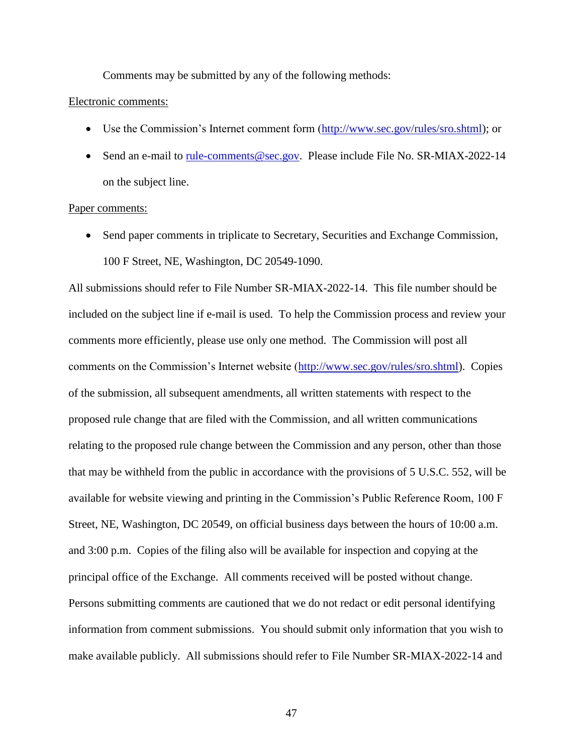Comments may be submitted by any of the following methods:

#### Electronic comments:

- Use the Commission's Internet comment form [\(http://www.sec.gov/rules/sro.shtml\)](http://www.sec.gov/rules/sro.shtml); or
- Send an e-mail to [rule-comments@sec.gov.](mailto:rule-comments@sec.gov) Please include File No. SR-MIAX-2022-14 on the subject line.

#### Paper comments:

• Send paper comments in triplicate to Secretary, Securities and Exchange Commission, 100 F Street, NE, Washington, DC 20549-1090.

All submissions should refer to File Number SR-MIAX-2022-14. This file number should be included on the subject line if e-mail is used. To help the Commission process and review your comments more efficiently, please use only one method. The Commission will post all comments on the Commission's Internet website [\(http://www.sec.gov/rules/sro.shtml\)](http://www.sec.gov/rules/sro.shtml). Copies of the submission, all subsequent amendments, all written statements with respect to the proposed rule change that are filed with the Commission, and all written communications relating to the proposed rule change between the Commission and any person, other than those that may be withheld from the public in accordance with the provisions of 5 U.S.C. 552, will be available for website viewing and printing in the Commission's Public Reference Room, 100 F Street, NE, Washington, DC 20549, on official business days between the hours of 10:00 a.m. and 3:00 p.m. Copies of the filing also will be available for inspection and copying at the principal office of the Exchange. All comments received will be posted without change. Persons submitting comments are cautioned that we do not redact or edit personal identifying information from comment submissions. You should submit only information that you wish to make available publicly. All submissions should refer to File Number SR-MIAX-2022-14 and